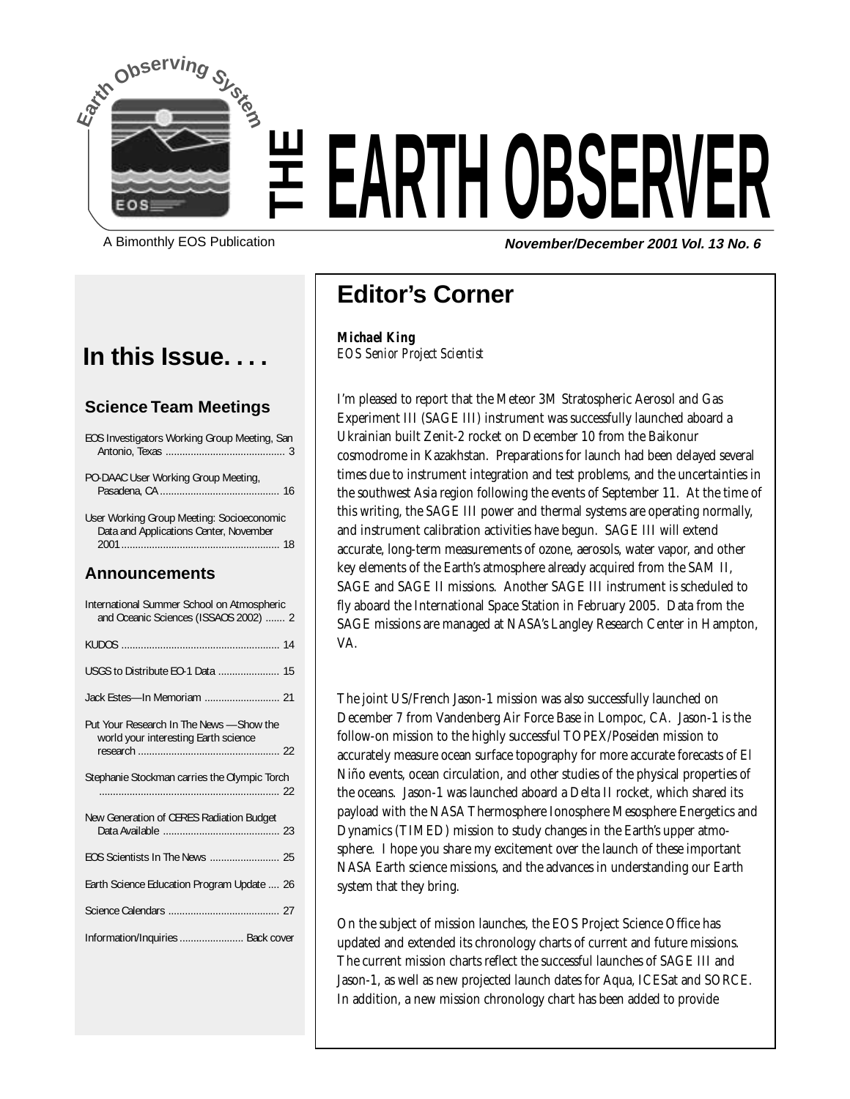

# EOS PUblication **THEARTH OBSERV**

**November/December 2001 Vol. 13 No. 6**

### **In this Issue. . . .**

#### **Science Team Meetings**

EOS Investigators Working Group Meeting, San Antonio, Texas ........................................... 3

PO-DAAC User Working Group Meeting, Pasadena, CA ........................................... 16

User Working Group Meeting: Socioeconomic Data and Applications Center, November 2001 ......................................................... 18

#### **Announcements**

| International Summer School on Atmospheric<br>and Oceanic Sciences (ISSAOS 2002)  2 |  |
|-------------------------------------------------------------------------------------|--|
|                                                                                     |  |
| USGS to Distribute EO-1 Data  15                                                    |  |
|                                                                                     |  |
| Put Your Research In The News -Show the<br>world your interesting Earth science     |  |
| Stephanie Stockman carries the Olympic Torch                                        |  |
| New Generation of CERES Radiation Budget                                            |  |
|                                                                                     |  |
| Earth Science Education Program Update  26                                          |  |
|                                                                                     |  |
| Information/Inquiries  Back cover                                                   |  |

## **Editor's Corner**

*Michael King EOS Senior Project Scientist*

I'm pleased to report that the Meteor 3M Stratospheric Aerosol and Gas Experiment III (SAGE III) instrument was successfully launched aboard a Ukrainian built Zenit-2 rocket on December 10 from the Baikonur cosmodrome in Kazakhstan. Preparations for launch had been delayed several times due to instrument integration and test problems, and the uncertainties in the southwest Asia region following the events of September 11. At the time of this writing, the SAGE III power and thermal systems are operating normally, and instrument calibration activities have begun. SAGE III will extend accurate, long-term measurements of ozone, aerosols, water vapor, and other key elements of the Earth's atmosphere already acquired from the SAM II, SAGE and SAGE II missions. Another SAGE III instrument is scheduled to fly aboard the International Space Station in February 2005. Data from the SAGE missions are managed at NASA's Langley Research Center in Hampton, VA.

The joint US/French Jason-1 mission was also successfully launched on December 7 from Vandenberg Air Force Base in Lompoc, CA. Jason-1 is the follow-on mission to the highly successful TOPEX/Poseiden mission to accurately measure ocean surface topography for more accurate forecasts of El Niño events, ocean circulation, and other studies of the physical properties of the oceans. Jason-1 was launched aboard a Delta II rocket, which shared its payload with the NASA Thermosphere Ionosphere Mesosphere Energetics and Dynamics (TIMED) mission to study changes in the Earth's upper atmosphere. I hope you share my excitement over the launch of these important NASA Earth science missions, and the advances in understanding our Earth system that they bring.

On the subject of mission launches, the EOS Project Science Office has updated and extended its chronology charts of current and future missions. The current mission charts reflect the successful launches of SAGE III and Jason-1, as well as new projected launch dates for Aqua, ICESat and SORCE. In addition, a new mission chronology chart has been added to provide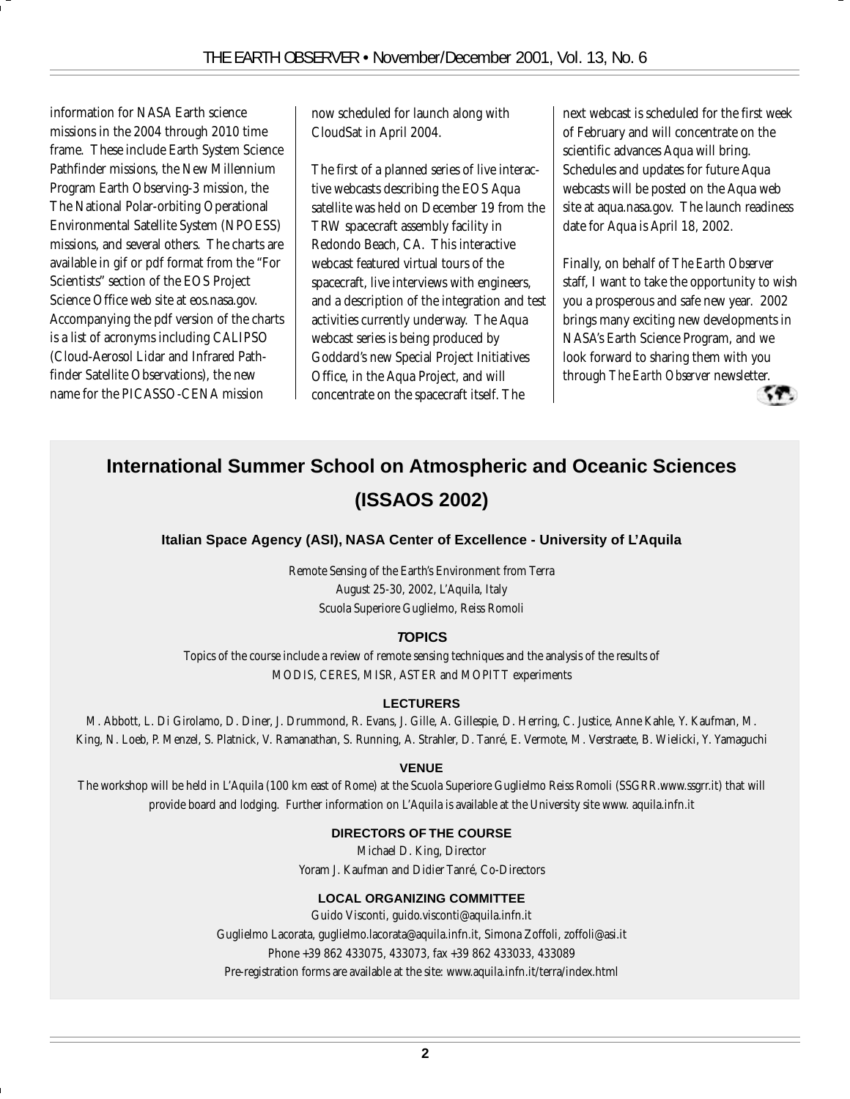information for NASA Earth science missions in the 2004 through 2010 time frame. These include Earth System Science Pathfinder missions, the New Millennium Program Earth Observing-3 mission, the The National Polar-orbiting Operational Environmental Satellite System (NPOESS) missions, and several others. The charts are available in gif or pdf format from the "For Scientists" section of the EOS Project Science Office web site at eos.nasa.gov. Accompanying the pdf version of the charts is a list of acronyms including CALIPSO (Cloud-Aerosol Lidar and Infrared Pathfinder Satellite Observations), the new name for the PICASSO-CENA mission

now scheduled for launch along with CloudSat in April 2004.

The first of a planned series of live interactive webcasts describing the EOS Aqua satellite was held on December 19 from the TRW spacecraft assembly facility in Redondo Beach, CA. This interactive webcast featured virtual tours of the spacecraft, live interviews with engineers, and a description of the integration and test activities currently underway. The Aqua webcast series is being produced by Goddard's new Special Project Initiatives Office, in the Aqua Project, and will concentrate on the spacecraft itself. The

next webcast is scheduled for the first week of February and will concentrate on the scientific advances Aqua will bring. Schedules and updates for future Aqua webcasts will be posted on the Aqua web site at aqua.nasa.gov. The launch readiness date for Aqua is April 18, 2002.

Finally, on behalf of *The Earth Observer* staff, I want to take the opportunity to wish you a prosperous and safe new year. 2002 brings many exciting new developments in NASA's Earth Science Program, and we look forward to sharing them with you through *The Earth Observer* newsletter.



## **International Summer School on Atmospheric and Oceanic Sciences (ISSAOS 2002)**

#### **Italian Space Agency (ASI), NASA Center of Excellence - University of L'Aquila**

Remote Sensing of the Earth's Environment from Terra August 25-30, 2002, L'Aquila, Italy Scuola Superiore Guglielmo, Reiss Romoli

#### **TOPICS**

Topics of the course include a review of remote sensing techniques and the analysis of the results of MODIS, CERES, MISR, ASTER and MOPITT experiments

#### **LECTURERS**

M. Abbott, L. Di Girolamo, D. Diner, J. Drummond, R. Evans, J. Gille, A. Gillespie, D. Herring, C. Justice, Anne Kahle, Y. Kaufman, M. King, N. Loeb, P. Menzel, S. Platnick, V. Ramanathan, S. Running, A. Strahler, D. Tanré, E. Vermote, M. Verstraete, B. Wielicki, Y. Yamaguchi

#### **VENUE**

The workshop will be held in L'Aquila (100 km east of Rome) at the Scuola Superiore Guglielmo Reiss Romoli (SSGRR.www.ssgrr.it) that will provide board and lodging. Further information on L'Aquila is available at the University site www. aquila.infn.it

#### **DIRECTORS OF THE COURSE**

Michael D. King, Director Yoram J. Kaufman and Didier Tanré, Co-Directors

#### **LOCAL ORGANIZING COMMITTEE**

Guido Visconti, guido.visconti@aquila.infn.it Guglielmo Lacorata, guglielmo.lacorata@aquila.infn.it, Simona Zoffoli, zoffoli@asi.it Phone +39 862 433075, 433073, fax +39 862 433033, 433089 Pre-registration forms are available at the site: www.aquila.infn.it/terra/index.html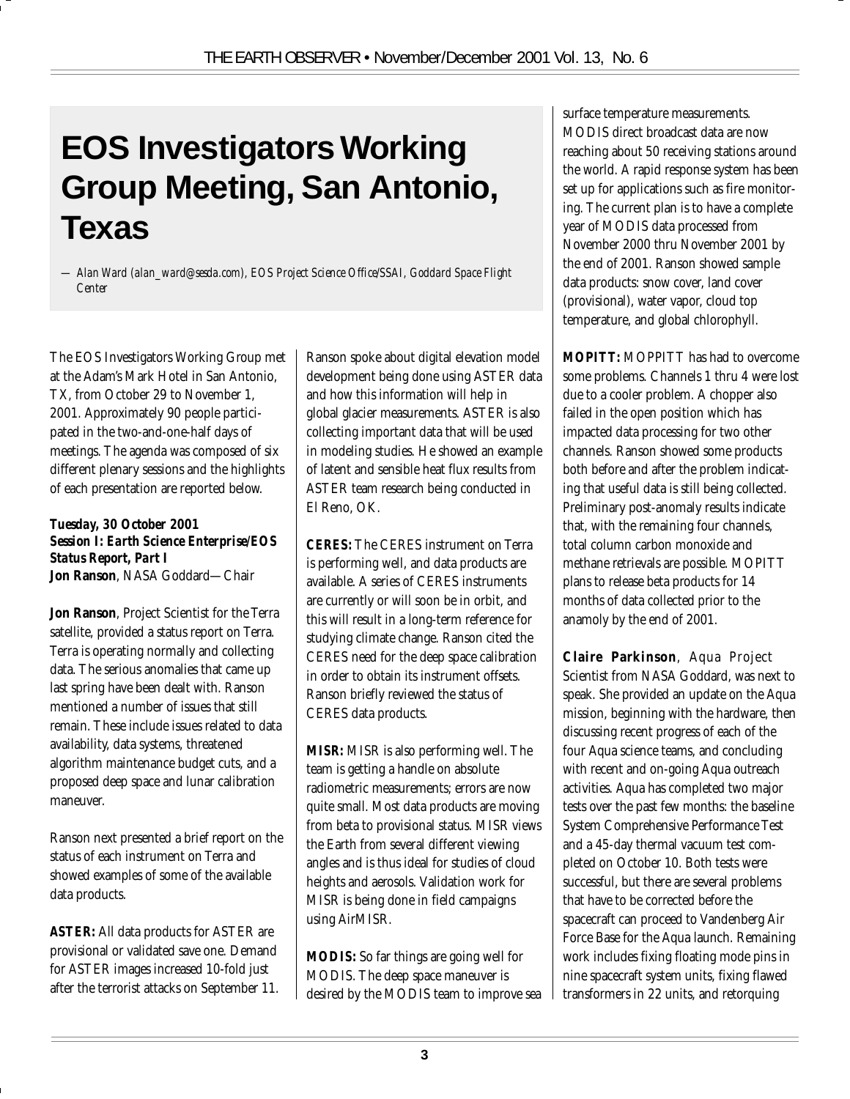# **EOS Investigators Working Group Meeting, San Antonio, Texas**

*— Alan Ward (alan\_ward@sesda.com), EOS Project Science Office/SSAI, Goddard Space Flight Center*

The EOS Investigators Working Group met at the Adam's Mark Hotel in San Antonio, TX, from October 29 to November 1, 2001. Approximately 90 people participated in the two-and-one-half days of meetings. The agenda was composed of six different plenary sessions and the highlights of each presentation are reported below.

#### *Tuesday, 30 October 2001 Session I: Earth Science Enterprise/EOS Status Report, Part I* **Jon Ranson**, NASA Goddard—Chair

**Jon Ranson**, Project Scientist for the Terra satellite, provided a status report on Terra. Terra is operating normally and collecting data. The serious anomalies that came up last spring have been dealt with. Ranson mentioned a number of issues that still remain. These include issues related to data availability, data systems, threatened algorithm maintenance budget cuts, and a proposed deep space and lunar calibration maneuver.

Ranson next presented a brief report on the status of each instrument on Terra and showed examples of some of the available data products.

*ASTER:* All data products for ASTER are provisional or validated save one. Demand for ASTER images increased 10-fold just after the terrorist attacks on September 11. Ranson spoke about digital elevation model development being done using ASTER data and how this information will help in global glacier measurements. ASTER is also collecting important data that will be used in modeling studies. He showed an example of latent and sensible heat flux results from ASTER team research being conducted in El Reno, OK.

*CERES:* The CERES instrument on Terra is performing well, and data products are available. A series of CERES instruments are currently or will soon be in orbit, and this will result in a long-term reference for studying climate change. Ranson cited the CERES need for the deep space calibration in order to obtain its instrument offsets. Ranson briefly reviewed the status of CERES data products.

*MISR:* MISR is also performing well. The team is getting a handle on absolute radiometric measurements; errors are now quite small. Most data products are moving from beta to provisional status. MISR views the Earth from several different viewing angles and is thus ideal for studies of cloud heights and aerosols. Validation work for MISR is being done in field campaigns using AirMISR.

*MODIS:* So far things are going well for MODIS. The deep space maneuver is desired by the MODIS team to improve sea surface temperature measurements. MODIS direct broadcast data are now reaching about 50 receiving stations around the world. A rapid response system has been set up for applications such as fire monitoring. The current plan is to have a complete year of MODIS data processed from November 2000 thru November 2001 by the end of 2001. Ranson showed sample data products: snow cover, land cover (provisional), water vapor, cloud top temperature, and global chlorophyll.

*MOPITT:* MOPPITT has had to overcome some problems. Channels 1 thru 4 were lost due to a cooler problem. A chopper also failed in the open position which has impacted data processing for two other channels. Ranson showed some products both before and after the problem indicating that useful data is still being collected. Preliminary post-anomaly results indicate that, with the remaining four channels, total column carbon monoxide and methane retrievals are possible. MOPITT plans to release beta products for 14 months of data collected prior to the anamoly by the end of 2001.

**Claire Parkinson**, Aqua Project Scientist from NASA Goddard, was next to speak. She provided an update on the Aqua mission, beginning with the hardware, then discussing recent progress of each of the four Aqua science teams, and concluding with recent and on-going Aqua outreach activities. Aqua has completed two major tests over the past few months: the baseline System Comprehensive Performance Test and a 45-day thermal vacuum test completed on October 10. Both tests were successful, but there are several problems that have to be corrected before the spacecraft can proceed to Vandenberg Air Force Base for the Aqua launch. Remaining work includes fixing floating mode pins in nine spacecraft system units, fixing flawed transformers in 22 units, and retorquing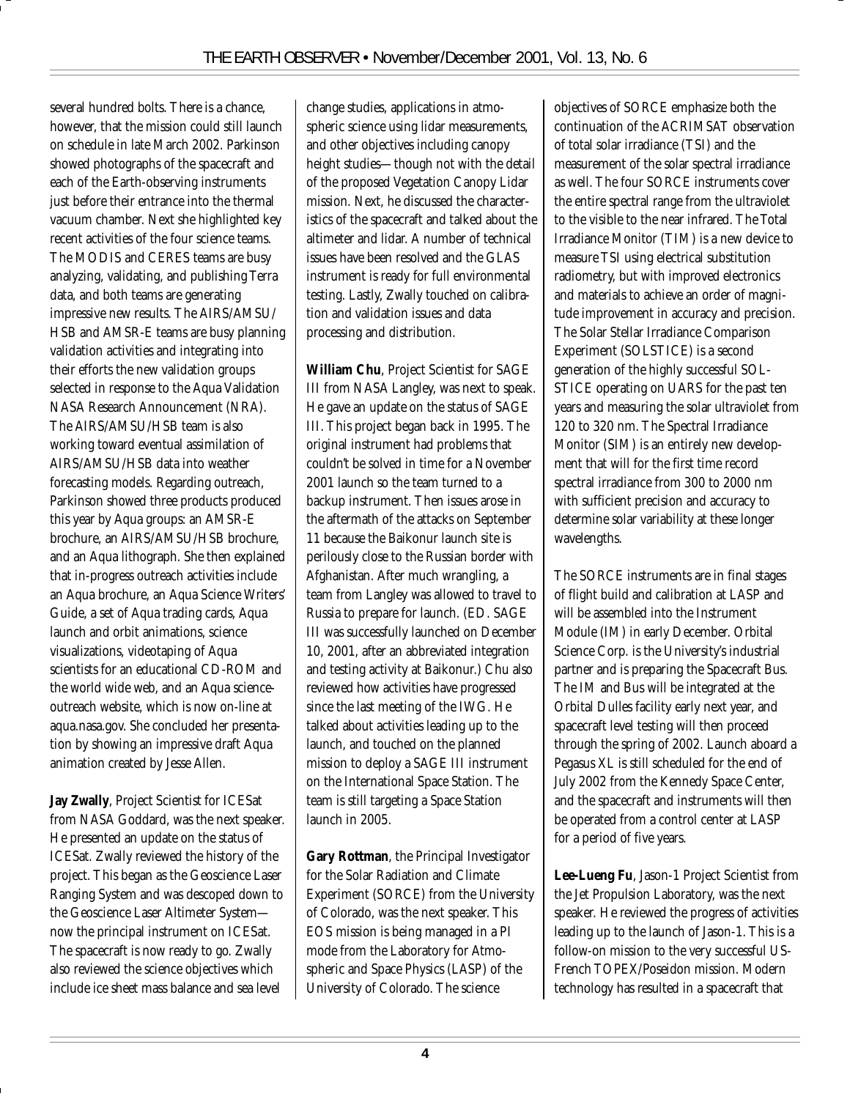several hundred bolts. There is a chance, however, that the mission could still launch on schedule in late March 2002. Parkinson showed photographs of the spacecraft and each of the Earth-observing instruments just before their entrance into the thermal vacuum chamber. Next she highlighted key recent activities of the four science teams. The MODIS and CERES teams are busy analyzing, validating, and publishing Terra data, and both teams are generating impressive new results. The AIRS/AMSU/ HSB and AMSR-E teams are busy planning validation activities and integrating into their efforts the new validation groups selected in response to the Aqua Validation NASA Research Announcement (NRA). The AIRS/AMSU/HSB team is also working toward eventual assimilation of AIRS/AMSU/HSB data into weather forecasting models. Regarding outreach, Parkinson showed three products produced this year by Aqua groups: an AMSR-E brochure, an AIRS/AMSU/HSB brochure, and an Aqua lithograph. She then explained that in-progress outreach activities include an Aqua brochure, an Aqua Science Writers' Guide, a set of Aqua trading cards, Aqua launch and orbit animations, science visualizations, videotaping of Aqua scientists for an educational CD-ROM and the world wide web, and an Aqua scienceoutreach website, which is now on-line at aqua.nasa.gov. She concluded her presentation by showing an impressive draft Aqua animation created by Jesse Allen.

**Jay Zwally**, Project Scientist for ICESat from NASA Goddard, was the next speaker. He presented an update on the status of ICESat. Zwally reviewed the history of the project. This began as the Geoscience Laser Ranging System and was descoped down to the Geoscience Laser Altimeter System now the principal instrument on ICESat. The spacecraft is now ready to go. Zwally also reviewed the science objectives which include ice sheet mass balance and sea level

change studies, applications in atmospheric science using lidar measurements, and other objectives including canopy height studies—though not with the detail of the proposed Vegetation Canopy Lidar mission. Next, he discussed the characteristics of the spacecraft and talked about the altimeter and lidar. A number of technical issues have been resolved and the GLAS instrument is ready for full environmental testing. Lastly, Zwally touched on calibration and validation issues and data processing and distribution.

**William Chu**, Project Scientist for SAGE III from NASA Langley, was next to speak. He gave an update on the status of SAGE III. This project began back in 1995. The original instrument had problems that couldn't be solved in time for a November 2001 launch so the team turned to a backup instrument. Then issues arose in the aftermath of the attacks on September 11 because the Baikonur launch site is perilously close to the Russian border with Afghanistan. After much wrangling, a team from Langley was allowed to travel to Russia to prepare for launch. (ED. SAGE III was successfully launched on December 10, 2001, after an abbreviated integration and testing activity at Baikonur.) Chu also reviewed how activities have progressed since the last meeting of the IWG. He talked about activities leading up to the launch, and touched on the planned mission to deploy a SAGE III instrument on the International Space Station. The team is still targeting a Space Station launch in 2005.

**Gary Rottman**, the Principal Investigator for the Solar Radiation and Climate Experiment (SORCE) from the University of Colorado, was the next speaker. This EOS mission is being managed in a PI mode from the Laboratory for Atmospheric and Space Physics (LASP) of the University of Colorado. The science

objectives of SORCE emphasize both the continuation of the ACRIMSAT observation of total solar irradiance (TSI) and the measurement of the solar spectral irradiance as well. The four SORCE instruments cover the entire spectral range from the ultraviolet to the visible to the near infrared. The Total Irradiance Monitor (TIM) is a new device to measure TSI using electrical substitution radiometry, but with improved electronics and materials to achieve an order of magnitude improvement in accuracy and precision. The Solar Stellar Irradiance Comparison Experiment (SOLSTICE) is a second generation of the highly successful SOL-STICE operating on UARS for the past ten years and measuring the solar ultraviolet from 120 to 320 nm. The Spectral Irradiance Monitor (SIM) is an entirely new development that will for the first time record spectral irradiance from 300 to 2000 nm with sufficient precision and accuracy to determine solar variability at these longer wavelengths.

The SORCE instruments are in final stages of flight build and calibration at LASP and will be assembled into the Instrument Module (IM) in early December. Orbital Science Corp. is the University's industrial partner and is preparing the Spacecraft Bus. The IM and Bus will be integrated at the Orbital Dulles facility early next year, and spacecraft level testing will then proceed through the spring of 2002. Launch aboard a Pegasus XL is still scheduled for the end of July 2002 from the Kennedy Space Center, and the spacecraft and instruments will then be operated from a control center at LASP for a period of five years.

**Lee-Lueng Fu**, Jason-1 Project Scientist from the Jet Propulsion Laboratory, was the next speaker. He reviewed the progress of activities leading up to the launch of Jason-1. This is a follow-on mission to the very successful US-French TOPEX/Poseidon mission. Modern technology has resulted in a spacecraft that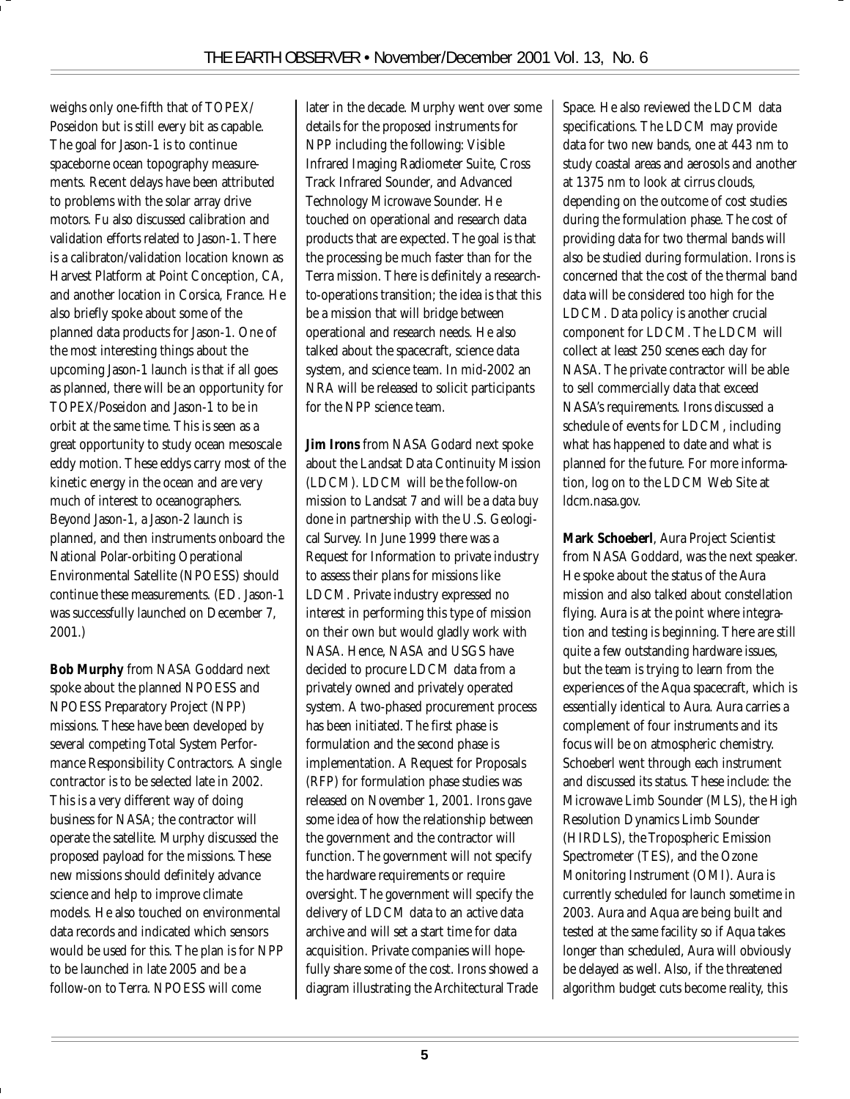weighs only one-fifth that of TOPEX/ Poseidon but is still every bit as capable. The goal for Jason-1 is to continue spaceborne ocean topography measurements. Recent delays have been attributed to problems with the solar array drive motors. Fu also discussed calibration and validation efforts related to Jason-1. There is a calibraton/validation location known as Harvest Platform at Point Conception, CA, and another location in Corsica, France. He also briefly spoke about some of the planned data products for Jason-1. One of the most interesting things about the upcoming Jason-1 launch is that if all goes as planned, there will be an opportunity for TOPEX/Poseidon and Jason-1 to be in orbit at the same time. This is seen as a great opportunity to study ocean mesoscale eddy motion. These eddys carry most of the kinetic energy in the ocean and are very much of interest to oceanographers. Beyond Jason-1, a Jason-2 launch is planned, and then instruments onboard the National Polar-orbiting Operational Environmental Satellite (NPOESS) should continue these measurements. (ED. Jason-1 was successfully launched on December 7, 2001.)

**Bob Murphy** from NASA Goddard next spoke about the planned NPOESS and NPOESS Preparatory Project (NPP) missions. These have been developed by several competing Total System Performance Responsibility Contractors. A single contractor is to be selected late in 2002. This is a very different way of doing business for NASA; the contractor will operate the satellite. Murphy discussed the proposed payload for the missions. These new missions should definitely advance science and help to improve climate models. He also touched on environmental data records and indicated which sensors would be used for this. The plan is for NPP to be launched in late 2005 and be a follow-on to Terra. NPOESS will come

later in the decade. Murphy went over some details for the proposed instruments for NPP including the following: Visible Infrared Imaging Radiometer Suite, Cross Track Infrared Sounder, and Advanced Technology Microwave Sounder. He touched on operational and research data products that are expected. The goal is that the processing be much faster than for the Terra mission. There is definitely a researchto-operations transition; the idea is that this be a mission that will bridge between operational and research needs. He also talked about the spacecraft, science data system, and science team. In mid-2002 an NRA will be released to solicit participants for the NPP science team.

**Jim Irons** from NASA Godard next spoke about the Landsat Data Continuity Mission (LDCM). LDCM will be the follow-on mission to Landsat 7 and will be a data buy done in partnership with the U.S. Geological Survey. In June 1999 there was a Request for Information to private industry to assess their plans for missions like LDCM. Private industry expressed no interest in performing this type of mission on their own but would gladly work with NASA. Hence, NASA and USGS have decided to procure LDCM data from a privately owned and privately operated system. A two-phased procurement process has been initiated. The first phase is formulation and the second phase is implementation. A Request for Proposals (RFP) for formulation phase studies was released on November 1, 2001. Irons gave some idea of how the relationship between the government and the contractor will function. The government will not specify the hardware requirements or require oversight. The government will specify the delivery of LDCM data to an active data archive and will set a start time for data acquisition. Private companies will hopefully share some of the cost. Irons showed a diagram illustrating the Architectural Trade

Space. He also reviewed the LDCM data specifications. The LDCM may provide data for two new bands, one at 443 nm to study coastal areas and aerosols and another at 1375 nm to look at cirrus clouds, depending on the outcome of cost studies during the formulation phase. The cost of providing data for two thermal bands will also be studied during formulation. Irons is concerned that the cost of the thermal band data will be considered too high for the LDCM. Data policy is another crucial component for LDCM. The LDCM will collect at least 250 scenes each day for NASA. The private contractor will be able to sell commercially data that exceed NASA's requirements. Irons discussed a schedule of events for LDCM, including what has happened to date and what is planned for the future. For more information, log on to the LDCM Web Site at ldcm.nasa.gov.

**Mark Schoeberl**, Aura Project Scientist from NASA Goddard, was the next speaker. He spoke about the status of the Aura mission and also talked about constellation flying. Aura is at the point where integration and testing is beginning. There are still quite a few outstanding hardware issues, but the team is trying to learn from the experiences of the Aqua spacecraft, which is essentially identical to Aura. Aura carries a complement of four instruments and its focus will be on atmospheric chemistry. Schoeberl went through each instrument and discussed its status. These include: the Microwave Limb Sounder (MLS), the High Resolution Dynamics Limb Sounder (HIRDLS), the Tropospheric Emission Spectrometer (TES), and the Ozone Monitoring Instrument (OMI). Aura is currently scheduled for launch sometime in 2003. Aura and Aqua are being built and tested at the same facility so if Aqua takes longer than scheduled, Aura will obviously be delayed as well. Also, if the threatened algorithm budget cuts become reality, this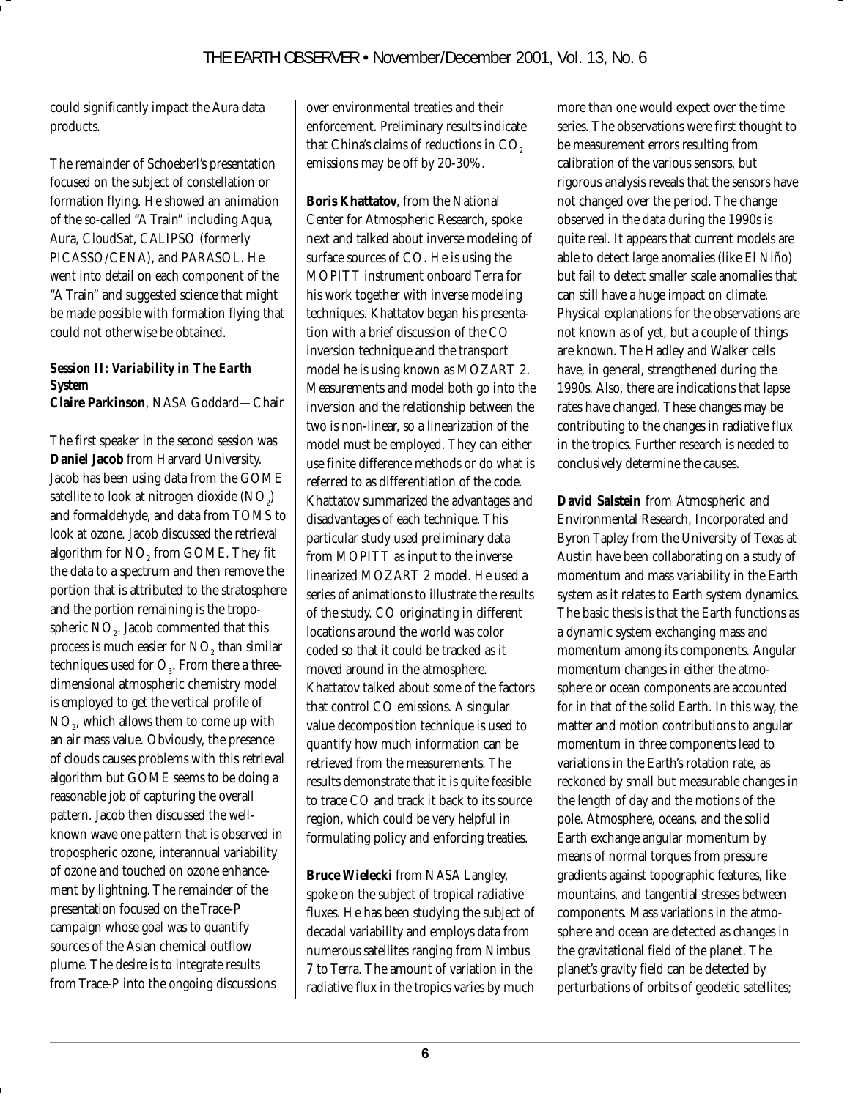could significantly impact the Aura data products.

The remainder of Schoeberl's presentation focused on the subject of constellation or formation flying. He showed an animation of the so-called "A Train" including Aqua, Aura, CloudSat, CALIPSO (formerly PICASSO/CENA), and PARASOL. He went into detail on each component of the "A Train" and suggested science that might be made possible with formation flying that could not otherwise be obtained.

#### *Session II: Variability in The Earth System*

**Claire Parkinson**, NASA Goddard—Chair

The first speaker in the second session was **Daniel Jacob** from Harvard University. Jacob has been using data from the GOME satellite to look at nitrogen dioxide (NO $_{\textrm{\tiny{\it 2}}}$ ) and formaldehyde, and data from TOMS to look at ozone. Jacob discussed the retrieval algorithm for NO<sub>2</sub> from GOME. They fit the data to a spectrum and then remove the portion that is attributed to the stratosphere and the portion remaining is the tropospheric NO<sub>2</sub>. Jacob commented that this process is much easier for  $\mathrm{NO}_2^{}$  than similar techniques used for  $O_3$ . From there a threedimensional atmospheric chemistry model is employed to get the vertical profile of NO<sub>2</sub>, which allows them to come up with an air mass value. Obviously, the presence of clouds causes problems with this retrieval algorithm but GOME seems to be doing a reasonable job of capturing the overall pattern. Jacob then discussed the wellknown wave one pattern that is observed in tropospheric ozone, interannual variability of ozone and touched on ozone enhancement by lightning. The remainder of the presentation focused on the Trace-P campaign whose goal was to quantify sources of the Asian chemical outflow plume. The desire is to integrate results from Trace-P into the ongoing discussions

over environmental treaties and their enforcement. Preliminary results indicate that China's claims of reductions in CO<sub>2</sub> emissions may be off by 20-30%.

**Boris Khattatov**, from the National Center for Atmospheric Research, spoke next and talked about inverse modeling of surface sources of CO. He is using the MOPITT instrument onboard Terra for his work together with inverse modeling techniques. Khattatov began his presentation with a brief discussion of the CO inversion technique and the transport model he is using known as MOZART 2. Measurements and model both go into the inversion and the relationship between the two is non-linear, so a linearization of the model must be employed. They can either use finite difference methods or do what is referred to as differentiation of the code. Khattatov summarized the advantages and disadvantages of each technique. This particular study used preliminary data from MOPITT as input to the inverse linearized MOZART 2 model. He used a series of animations to illustrate the results of the study. CO originating in different locations around the world was color coded so that it could be tracked as it moved around in the atmosphere. Khattatov talked about some of the factors that control CO emissions. A singular value decomposition technique is used to quantify how much information can be retrieved from the measurements. The results demonstrate that it is quite feasible to trace CO and track it back to its source region, which could be very helpful in formulating policy and enforcing treaties.

**Bruce Wielecki** from NASA Langley, spoke on the subject of tropical radiative fluxes. He has been studying the subject of decadal variability and employs data from numerous satellites ranging from Nimbus 7 to Terra. The amount of variation in the radiative flux in the tropics varies by much

more than one would expect over the time series. The observations were first thought to be measurement errors resulting from calibration of the various sensors, but rigorous analysis reveals that the sensors have not changed over the period. The change observed in the data during the 1990s is quite real. It appears that current models are able to detect large anomalies (like El Niño) but fail to detect smaller scale anomalies that can still have a huge impact on climate. Physical explanations for the observations are not known as of yet, but a couple of things are known. The Hadley and Walker cells have, in general, strengthened during the 1990s. Also, there are indications that lapse rates have changed. These changes may be contributing to the changes in radiative flux in the tropics. Further research is needed to conclusively determine the causes.

**David Salstein** from Atmospheric and Environmental Research, Incorporated and Byron Tapley from the University of Texas at Austin have been collaborating on a study of momentum and mass variability in the Earth system as it relates to Earth system dynamics. The basic thesis is that the Earth functions as a dynamic system exchanging mass and momentum among its components. Angular momentum changes in either the atmosphere or ocean components are accounted for in that of the solid Earth. In this way, the matter and motion contributions to angular momentum in three components lead to variations in the Earth's rotation rate, as reckoned by small but measurable changes in the length of day and the motions of the pole. Atmosphere, oceans, and the solid Earth exchange angular momentum by means of normal torques from pressure gradients against topographic features, like mountains, and tangential stresses between components. Mass variations in the atmosphere and ocean are detected as changes in the gravitational field of the planet. The planet's gravity field can be detected by perturbations of orbits of geodetic satellites;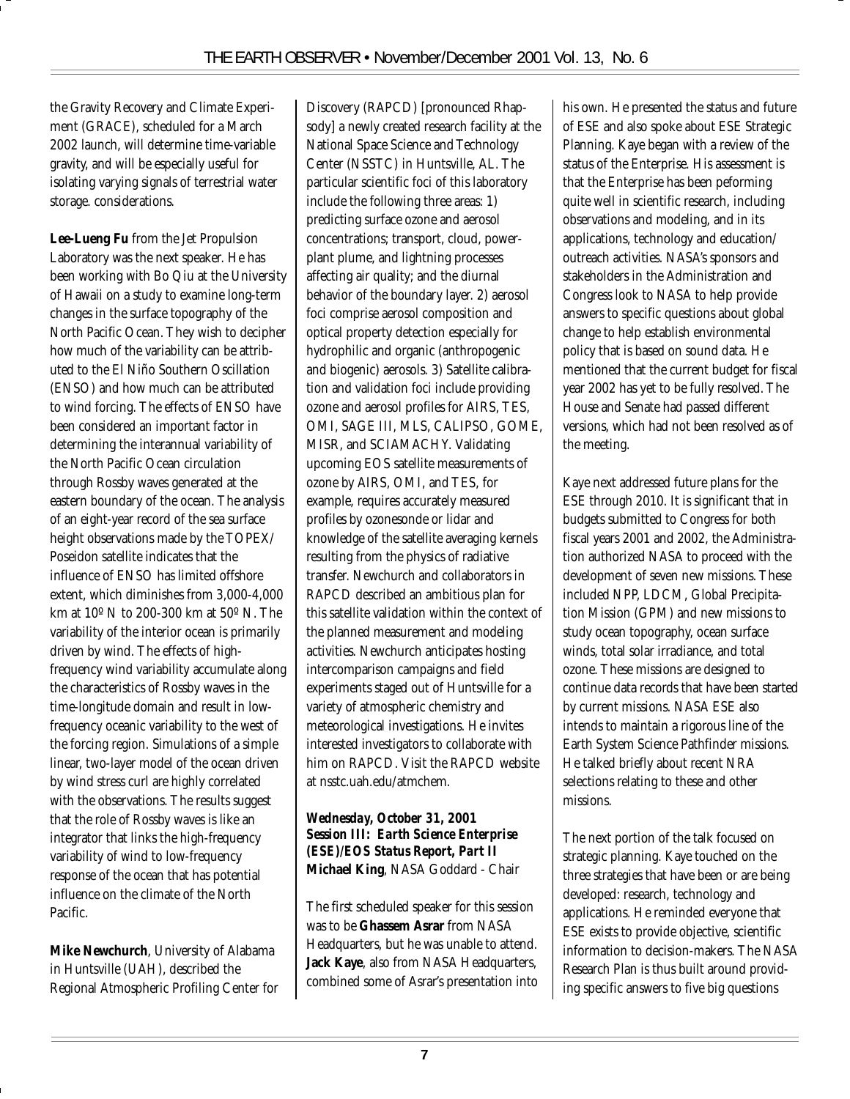the Gravity Recovery and Climate Experiment (GRACE), scheduled for a March 2002 launch, will determine time-variable gravity, and will be especially useful for isolating varying signals of terrestrial water storage. considerations.

**Lee-Lueng Fu** from the Jet Propulsion Laboratory was the next speaker. He has been working with Bo Qiu at the University of Hawaii on a study to examine long-term changes in the surface topography of the North Pacific Ocean. They wish to decipher how much of the variability can be attributed to the El Niño Southern Oscillation (ENSO) and how much can be attributed to wind forcing. The effects of ENSO have been considered an important factor in determining the interannual variability of the North Pacific Ocean circulation through Rossby waves generated at the eastern boundary of the ocean. The analysis of an eight-year record of the sea surface height observations made by the TOPEX/ Poseidon satellite indicates that the influence of ENSO has limited offshore extent, which diminishes from 3,000-4,000 km at 10º N to 200-300 km at 50º N. The variability of the interior ocean is primarily driven by wind. The effects of highfrequency wind variability accumulate along the characteristics of Rossby waves in the time-longitude domain and result in lowfrequency oceanic variability to the west of the forcing region. Simulations of a simple linear, two-layer model of the ocean driven by wind stress curl are highly correlated with the observations. The results suggest that the role of Rossby waves is like an integrator that links the high-frequency variability of wind to low-frequency response of the ocean that has potential influence on the climate of the North Pacific.

**Mike Newchurch**, University of Alabama in Huntsville (UAH), described the Regional Atmospheric Profiling Center for Discovery (RAPCD) [pronounced Rhapsody] a newly created research facility at the National Space Science and Technology Center (NSSTC) in Huntsville, AL. The particular scientific foci of this laboratory include the following three areas: 1) predicting surface ozone and aerosol concentrations; transport, cloud, powerplant plume, and lightning processes affecting air quality; and the diurnal behavior of the boundary layer. 2) aerosol foci comprise aerosol composition and optical property detection especially for hydrophilic and organic (anthropogenic and biogenic) aerosols. 3) Satellite calibration and validation foci include providing ozone and aerosol profiles for AIRS, TES, OMI, SAGE III, MLS, CALIPSO, GOME, MISR, and SCIAMACHY. Validating upcoming EOS satellite measurements of ozone by AIRS, OMI, and TES, for example, requires accurately measured profiles by ozonesonde or lidar and knowledge of the satellite averaging kernels resulting from the physics of radiative transfer. Newchurch and collaborators in RAPCD described an ambitious plan for this satellite validation within the context of the planned measurement and modeling activities. Newchurch anticipates hosting intercomparison campaigns and field experiments staged out of Huntsville for a variety of atmospheric chemistry and meteorological investigations. He invites interested investigators to collaborate with him on RAPCD. Visit the RAPCD website at nsstc.uah.edu/atmchem.

#### *Wednesday, October 31, 2001 Session III: Earth Science Enterprise (ESE)/EOS Status Report, Part II* **Michael King**, NASA Goddard - Chair

The first scheduled speaker for this session was to be **Ghassem Asrar** from NASA Headquarters, but he was unable to attend. **Jack Kaye**, also from NASA Headquarters, combined some of Asrar's presentation into his own. He presented the status and future of ESE and also spoke about ESE Strategic Planning. Kaye began with a review of the status of the Enterprise. His assessment is that the Enterprise has been peforming quite well in scientific research, including observations and modeling, and in its applications, technology and education/ outreach activities. NASA's sponsors and stakeholders in the Administration and Congress look to NASA to help provide answers to specific questions about global change to help establish environmental policy that is based on sound data. He mentioned that the current budget for fiscal year 2002 has yet to be fully resolved. The House and Senate had passed different versions, which had not been resolved as of the meeting.

Kaye next addressed future plans for the ESE through 2010. It is significant that in budgets submitted to Congress for both fiscal years 2001 and 2002, the Administration authorized NASA to proceed with the development of seven new missions. These included NPP, LDCM, Global Precipitation Mission (GPM) and new missions to study ocean topography, ocean surface winds, total solar irradiance, and total ozone. These missions are designed to continue data records that have been started by current missions. NASA ESE also intends to maintain a rigorous line of the Earth System Science Pathfinder missions. He talked briefly about recent NRA selections relating to these and other missions.

The next portion of the talk focused on strategic planning. Kaye touched on the three strategies that have been or are being developed: research, technology and applications. He reminded everyone that ESE exists to provide objective, scientific information to decision-makers. The NASA Research Plan is thus built around providing specific answers to five big questions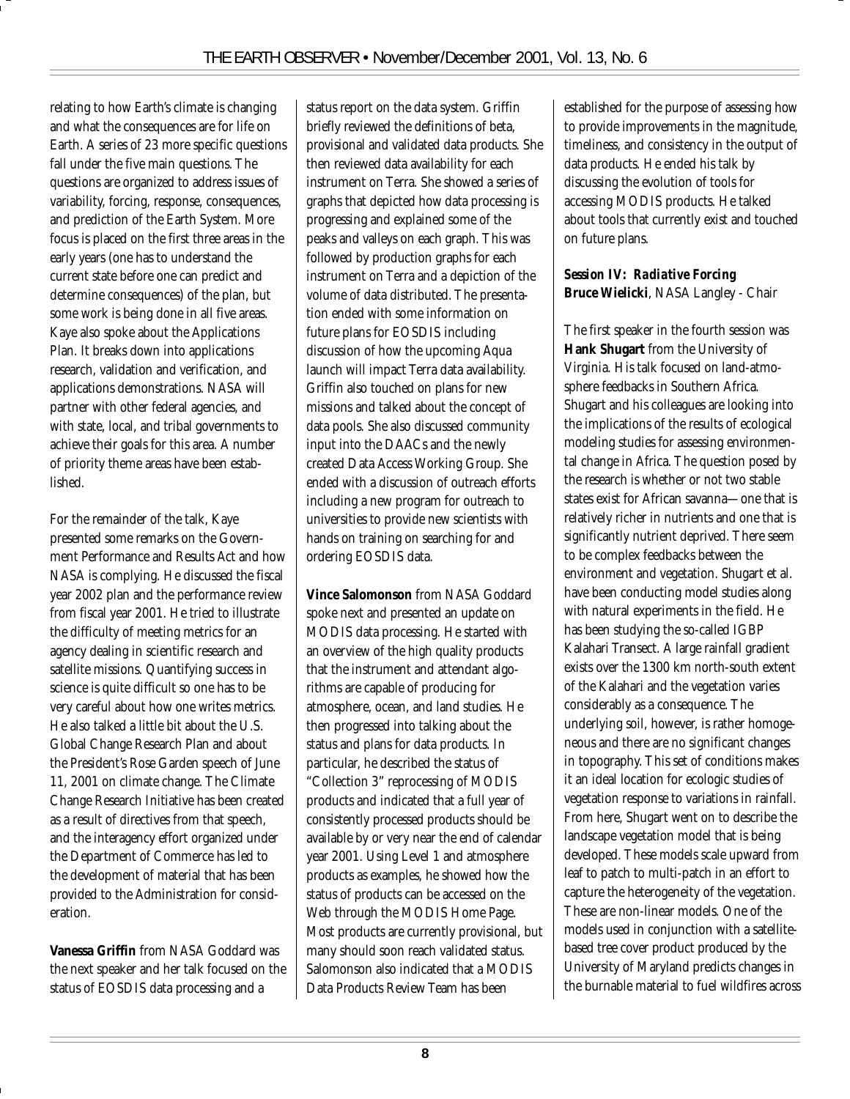relating to how Earth's climate is changing and what the consequences are for life on Earth. A series of 23 more specific questions fall under the five main questions. The questions are organized to address issues of variability, forcing, response, consequences, and prediction of the Earth System. More focus is placed on the first three areas in the early years (one has to understand the current state before one can predict and determine consequences) of the plan, but some work is being done in all five areas. Kaye also spoke about the Applications Plan. It breaks down into applications research, validation and verification, and applications demonstrations. NASA will partner with other federal agencies, and with state, local, and tribal governments to achieve their goals for this area. A number of priority theme areas have been established.

For the remainder of the talk, Kaye presented some remarks on the Government Performance and Results Act and how NASA is complying. He discussed the fiscal year 2002 plan and the performance review from fiscal year 2001. He tried to illustrate the difficulty of meeting metrics for an agency dealing in scientific research and satellite missions. Quantifying success in science is quite difficult so one has to be very careful about how one writes metrics. He also talked a little bit about the U.S. Global Change Research Plan and about the President's Rose Garden speech of June 11, 2001 on climate change. The Climate Change Research Initiative has been created as a result of directives from that speech, and the interagency effort organized under the Department of Commerce has led to the development of material that has been provided to the Administration for consideration.

**Vanessa Griffin** from NASA Goddard was the next speaker and her talk focused on the status of EOSDIS data processing and a

status report on the data system. Griffin briefly reviewed the definitions of beta, provisional and validated data products. She then reviewed data availability for each instrument on Terra. She showed a series of graphs that depicted how data processing is progressing and explained some of the peaks and valleys on each graph. This was followed by production graphs for each instrument on Terra and a depiction of the volume of data distributed. The presentation ended with some information on future plans for EOSDIS including discussion of how the upcoming Aqua launch will impact Terra data availability. Griffin also touched on plans for new missions and talked about the concept of data pools. She also discussed community input into the DAACs and the newly created Data Access Working Group. She ended with a discussion of outreach efforts including a new program for outreach to universities to provide new scientists with hands on training on searching for and ordering EOSDIS data.

**Vince Salomonson** from NASA Goddard spoke next and presented an update on MODIS data processing. He started with an overview of the high quality products that the instrument and attendant algorithms are capable of producing for atmosphere, ocean, and land studies. He then progressed into talking about the status and plans for data products. In particular, he described the status of "Collection 3" reprocessing of MODIS products and indicated that a full year of consistently processed products should be available by or very near the end of calendar year 2001. Using Level 1 and atmosphere products as examples, he showed how the status of products can be accessed on the Web through the MODIS Home Page. Most products are currently provisional, but many should soon reach validated status. Salomonson also indicated that a MODIS Data Products Review Team has been

established for the purpose of assessing how to provide improvements in the magnitude, timeliness, and consistency in the output of data products. He ended his talk by discussing the evolution of tools for accessing MODIS products. He talked about tools that currently exist and touched on future plans.

#### *Session IV: Radiative Forcing* **Bruce Wielicki**, NASA Langley - Chair

The first speaker in the fourth session was **Hank Shugart** from the University of Virginia. His talk focused on land-atmosphere feedbacks in Southern Africa. Shugart and his colleagues are looking into the implications of the results of ecological modeling studies for assessing environmental change in Africa. The question posed by the research is whether or not two stable states exist for African savanna—one that is relatively richer in nutrients and one that is significantly nutrient deprived. There seem to be complex feedbacks between the environment and vegetation. Shugart et al. have been conducting model studies along with natural experiments in the field. He has been studying the so-called IGBP Kalahari Transect. A large rainfall gradient exists over the 1300 km north-south extent of the Kalahari and the vegetation varies considerably as a consequence. The underlying soil, however, is rather homogeneous and there are no significant changes in topography. This set of conditions makes it an ideal location for ecologic studies of vegetation response to variations in rainfall. From here, Shugart went on to describe the landscape vegetation model that is being developed. These models scale upward from leaf to patch to multi-patch in an effort to capture the heterogeneity of the vegetation. These are non-linear models. One of the models used in conjunction with a satellitebased tree cover product produced by the University of Maryland predicts changes in the burnable material to fuel wildfires across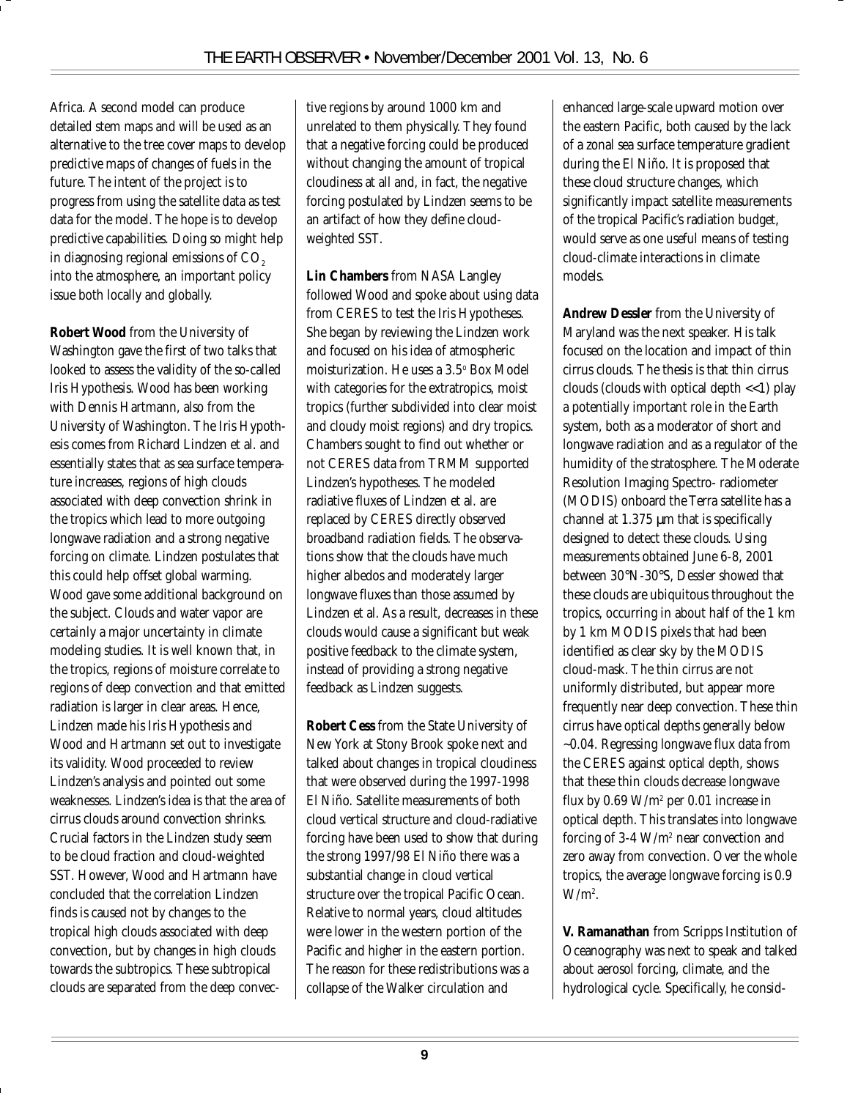Africa. A second model can produce detailed stem maps and will be used as an alternative to the tree cover maps to develop predictive maps of changes of fuels in the future. The intent of the project is to progress from using the satellite data as test data for the model. The hope is to develop predictive capabilities. Doing so might help in diagnosing regional emissions of  $CO<sub>2</sub>$ into the atmosphere, an important policy issue both locally and globally.

**Robert Wood** from the University of Washington gave the first of two talks that looked to assess the validity of the so-called Iris Hypothesis. Wood has been working with Dennis Hartmann, also from the University of Washington. The Iris Hypothesis comes from Richard Lindzen et al. and essentially states that as sea surface temperature increases, regions of high clouds associated with deep convection shrink in the tropics which lead to more outgoing longwave radiation and a strong negative forcing on climate. Lindzen postulates that this could help offset global warming. Wood gave some additional background on the subject. Clouds and water vapor are certainly a major uncertainty in climate modeling studies. It is well known that, in the tropics, regions of moisture correlate to regions of deep convection and that emitted radiation is larger in clear areas. Hence, Lindzen made his Iris Hypothesis and Wood and Hartmann set out to investigate its validity. Wood proceeded to review Lindzen's analysis and pointed out some weaknesses. Lindzen's idea is that the area of cirrus clouds around convection shrinks. Crucial factors in the Lindzen study seem to be cloud fraction and cloud-weighted SST. However, Wood and Hartmann have concluded that the correlation Lindzen finds is caused not by changes to the tropical high clouds associated with deep convection, but by changes in high clouds towards the subtropics. These subtropical clouds are separated from the deep convective regions by around 1000 km and unrelated to them physically. They found that a negative forcing could be produced without changing the amount of tropical cloudiness at all and, in fact, the negative forcing postulated by Lindzen seems to be an artifact of how they define cloudweighted SST.

**Lin Chambers** from NASA Langley followed Wood and spoke about using data from CERES to test the Iris Hypotheses. She began by reviewing the Lindzen work and focused on his idea of atmospheric moisturization. He uses a 3.5° Box Model with categories for the extratropics, moist tropics (further subdivided into clear moist and cloudy moist regions) and dry tropics. Chambers sought to find out whether or not CERES data from TRMM supported Lindzen's hypotheses. The modeled radiative fluxes of Lindzen et al. are replaced by CERES directly observed broadband radiation fields. The observations show that the clouds have much higher albedos and moderately larger longwave fluxes than those assumed by Lindzen et al. As a result, decreases in these clouds would cause a significant but weak positive feedback to the climate system, instead of providing a strong negative feedback as Lindzen suggests.

**Robert Cess** from the State University of New York at Stony Brook spoke next and talked about changes in tropical cloudiness that were observed during the 1997-1998 El Niño. Satellite measurements of both cloud vertical structure and cloud-radiative forcing have been used to show that during the strong 1997/98 El Niño there was a substantial change in cloud vertical structure over the tropical Pacific Ocean. Relative to normal years, cloud altitudes were lower in the western portion of the Pacific and higher in the eastern portion. The reason for these redistributions was a collapse of the Walker circulation and

enhanced large-scale upward motion over the eastern Pacific, both caused by the lack of a zonal sea surface temperature gradient during the El Niño. It is proposed that these cloud structure changes, which significantly impact satellite measurements of the tropical Pacific's radiation budget, would serve as one useful means of testing cloud-climate interactions in climate models.

**Andrew Dessler** from the University of Maryland was the next speaker. His talk focused on the location and impact of thin cirrus clouds. The thesis is that thin cirrus clouds (clouds with optical depth <<1) play a potentially important role in the Earth system, both as a moderator of short and longwave radiation and as a regulator of the humidity of the stratosphere. The Moderate Resolution Imaging Spectro- radiometer (MODIS) onboard the Terra satellite has a channel at 1.375 µm that is specifically designed to detect these clouds. Using measurements obtained June 6-8, 2001 between 30°N-30°S, Dessler showed that these clouds are ubiquitous throughout the tropics, occurring in about half of the 1 km by 1 km MODIS pixels that had been identified as clear sky by the MODIS cloud-mask. The thin cirrus are not uniformly distributed, but appear more frequently near deep convection. These thin cirrus have optical depths generally below ~0.04. Regressing longwave flux data from the CERES against optical depth, shows that these thin clouds decrease longwave flux by 0.69 W/m2 per 0.01 increase in optical depth. This translates into longwave forcing of 3-4  $\mathrm{W} / \mathrm{m}^2$  near convection and zero away from convection. Over the whole tropics, the average longwave forcing is 0.9  $W/m^2$ .

**V. Ramanathan** from Scripps Institution of Oceanography was next to speak and talked about aerosol forcing, climate, and the hydrological cycle. Specifically, he consid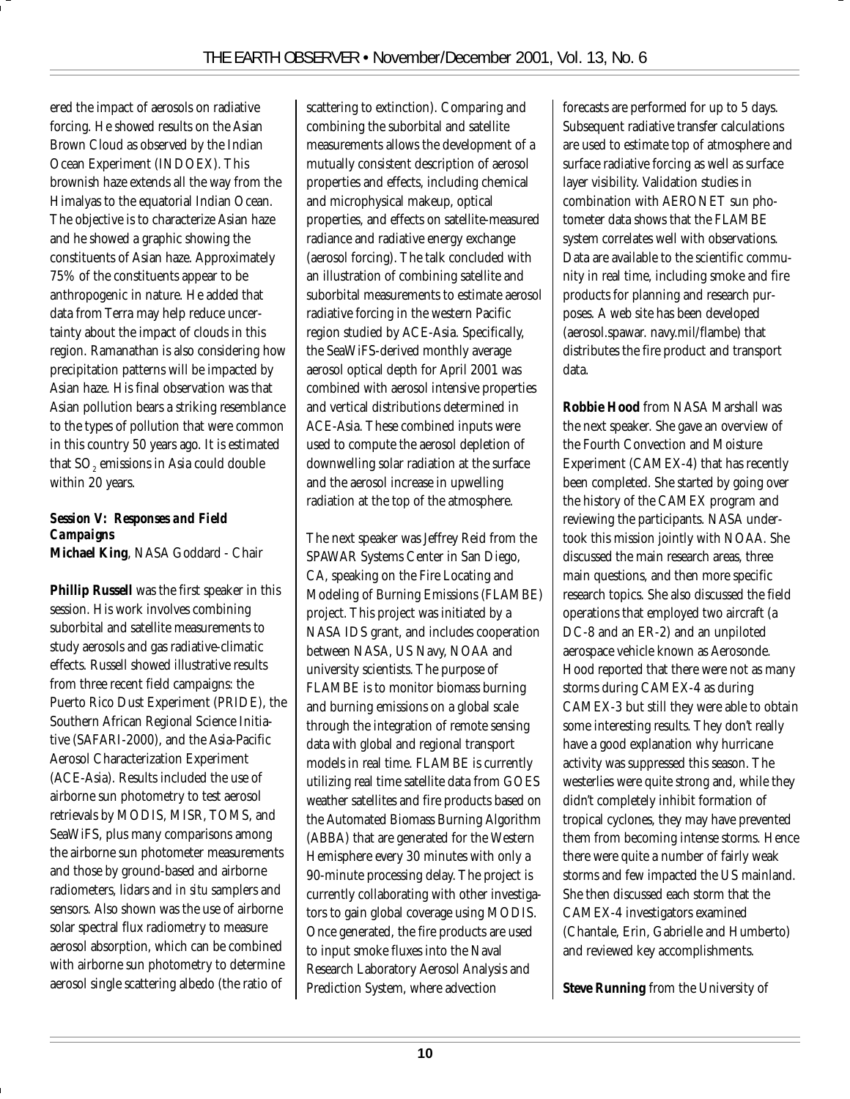ered the impact of aerosols on radiative forcing. He showed results on the Asian Brown Cloud as observed by the Indian Ocean Experiment (INDOEX). This brownish haze extends all the way from the Himalyas to the equatorial Indian Ocean. The objective is to characterize Asian haze and he showed a graphic showing the constituents of Asian haze. Approximately 75% of the constituents appear to be anthropogenic in nature. He added that data from Terra may help reduce uncertainty about the impact of clouds in this region. Ramanathan is also considering how precipitation patterns will be impacted by Asian haze. His final observation was that Asian pollution bears a striking resemblance to the types of pollution that were common in this country 50 years ago. It is estimated that SO $_{\tiny 2}$  emissions in Asia could double within 20 years.

#### *Session V: Responses and Field Campaigns* **Michael King**, NASA Goddard - Chair

**Phillip Russell** was the first speaker in this session. His work involves combining suborbital and satellite measurements to study aerosols and gas radiative-climatic effects. Russell showed illustrative results from three recent field campaigns: the Puerto Rico Dust Experiment (PRIDE), the Southern African Regional Science Initiative (SAFARI-2000), and the Asia-Pacific Aerosol Characterization Experiment (ACE-Asia). Results included the use of airborne sun photometry to test aerosol retrievals by MODIS, MISR, TOMS, and SeaWiFS, plus many comparisons among the airborne sun photometer measurements and those by ground-based and airborne radiometers, lidars and *in situ* samplers and sensors. Also shown was the use of airborne solar spectral flux radiometry to measure aerosol absorption, which can be combined with airborne sun photometry to determine aerosol single scattering albedo (the ratio of

scattering to extinction). Comparing and combining the suborbital and satellite measurements allows the development of a mutually consistent description of aerosol properties and effects, including chemical and microphysical makeup, optical properties, and effects on satellite-measured radiance and radiative energy exchange (aerosol forcing). The talk concluded with an illustration of combining satellite and suborbital measurements to estimate aerosol radiative forcing in the western Pacific region studied by ACE-Asia. Specifically, the SeaWiFS-derived monthly average aerosol optical depth for April 2001 was combined with aerosol intensive properties and vertical distributions determined in ACE-Asia. These combined inputs were used to compute the aerosol depletion of downwelling solar radiation at the surface and the aerosol increase in upwelling radiation at the top of the atmosphere.

The next speaker was Jeffrey Reid from the SPAWAR Systems Center in San Diego, CA, speaking on the Fire Locating and Modeling of Burning Emissions (FLAMBE) project. This project was initiated by a NASA IDS grant, and includes cooperation between NASA, US Navy, NOAA and university scientists. The purpose of FLAMBE is to monitor biomass burning and burning emissions on a global scale through the integration of remote sensing data with global and regional transport models in real time. FLAMBE is currently utilizing real time satellite data from GOES weather satellites and fire products based on the Automated Biomass Burning Algorithm (ABBA) that are generated for the Western Hemisphere every 30 minutes with only a 90-minute processing delay. The project is currently collaborating with other investigators to gain global coverage using MODIS. Once generated, the fire products are used to input smoke fluxes into the Naval Research Laboratory Aerosol Analysis and Prediction System, where advection

forecasts are performed for up to 5 days. Subsequent radiative transfer calculations are used to estimate top of atmosphere and surface radiative forcing as well as surface layer visibility. Validation studies in combination with AERONET sun photometer data shows that the FLAMBE system correlates well with observations. Data are available to the scientific community in real time, including smoke and fire products for planning and research purposes. A web site has been developed (aerosol.spawar. navy.mil/flambe) that distributes the fire product and transport data.

**Robbie Hood** from NASA Marshall was the next speaker. She gave an overview of the Fourth Convection and Moisture Experiment (CAMEX-4) that has recently been completed. She started by going over the history of the CAMEX program and reviewing the participants. NASA undertook this mission jointly with NOAA. She discussed the main research areas, three main questions, and then more specific research topics. She also discussed the field operations that employed two aircraft (a DC-8 and an ER-2) and an unpiloted aerospace vehicle known as Aerosonde. Hood reported that there were not as many storms during CAMEX-4 as during CAMEX-3 but still they were able to obtain some interesting results. They don't really have a good explanation why hurricane activity was suppressed this season. The westerlies were quite strong and, while they didn't completely inhibit formation of tropical cyclones, they may have prevented them from becoming intense storms. Hence there were quite a number of fairly weak storms and few impacted the US mainland. She then discussed each storm that the CAMEX-4 investigators examined (Chantale, Erin, Gabrielle and Humberto) and reviewed key accomplishments.

**Steve Running** from the University of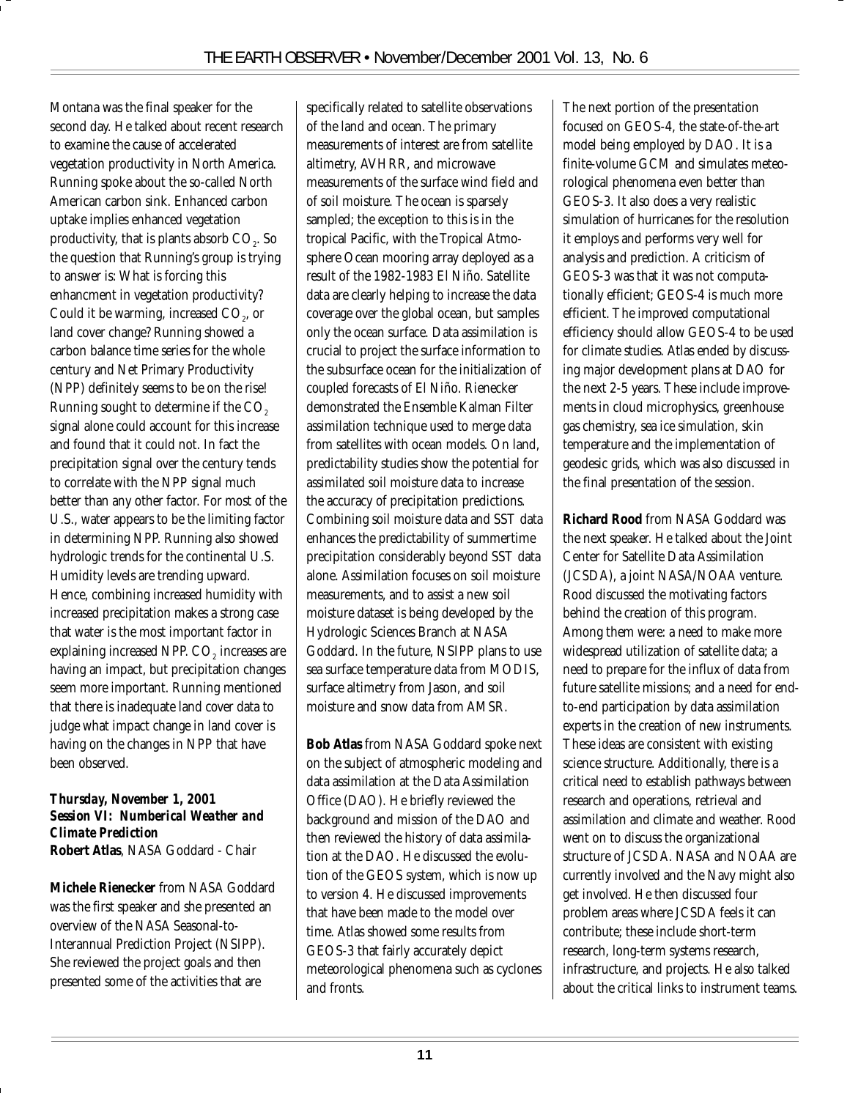Montana was the final speaker for the second day. He talked about recent research to examine the cause of accelerated vegetation productivity in North America. Running spoke about the so-called North American carbon sink. Enhanced carbon uptake implies enhanced vegetation productivity, that is plants absorb  $\mathrm{CO}_2$ . So the question that Running's group is trying to answer is: What is forcing this enhancment in vegetation productivity? Could it be warming, increased  $\mathrm{CO}_2^{}$ , or land cover change? Running showed a carbon balance time series for the whole century and Net Primary Productivity (NPP) definitely seems to be on the rise! Running sought to determine if the  $\mathrm{CO}_2$ signal alone could account for this increase and found that it could not. In fact the precipitation signal over the century tends to correlate with the NPP signal much better than any other factor. For most of the U.S., water appears to be the limiting factor in determining NPP. Running also showed hydrologic trends for the continental U.S. Humidity levels are trending upward. Hence, combining increased humidity with increased precipitation makes a strong case that water is the most important factor in explaining increased NPP. CO<sub>2</sub> increases are having an impact, but precipitation changes seem more important. Running mentioned that there is inadequate land cover data to judge what impact change in land cover is having on the changes in NPP that have been observed.

#### *Thursday, November 1, 2001 Session VI: Numberical Weather and Climate Prediction* **Robert Atlas**, NASA Goddard - Chair

**Michele Rienecker** from NASA Goddard was the first speaker and she presented an overview of the NASA Seasonal-to-Interannual Prediction Project (NSIPP). She reviewed the project goals and then presented some of the activities that are

specifically related to satellite observations of the land and ocean. The primary measurements of interest are from satellite altimetry, AVHRR, and microwave measurements of the surface wind field and of soil moisture. The ocean is sparsely sampled; the exception to this is in the tropical Pacific, with the Tropical Atmosphere Ocean mooring array deployed as a result of the 1982-1983 El Niño. Satellite data are clearly helping to increase the data coverage over the global ocean, but samples only the ocean surface. Data assimilation is crucial to project the surface information to the subsurface ocean for the initialization of coupled forecasts of El Niño. Rienecker demonstrated the Ensemble Kalman Filter assimilation technique used to merge data from satellites with ocean models. On land, predictability studies show the potential for assimilated soil moisture data to increase the accuracy of precipitation predictions. Combining soil moisture data and SST data enhances the predictability of summertime precipitation considerably beyond SST data alone. Assimilation focuses on soil moisture measurements, and to assist a new soil moisture dataset is being developed by the Hydrologic Sciences Branch at NASA Goddard. In the future, NSIPP plans to use sea surface temperature data from MODIS, surface altimetry from Jason, and soil moisture and snow data from AMSR.

**Bob Atlas** from NASA Goddard spoke next on the subject of atmospheric modeling and data assimilation at the Data Assimilation Office (DAO). He briefly reviewed the background and mission of the DAO and then reviewed the history of data assimilation at the DAO. He discussed the evolution of the GEOS system, which is now up to version 4. He discussed improvements that have been made to the model over time. Atlas showed some results from GEOS-3 that fairly accurately depict meteorological phenomena such as cyclones and fronts.

The next portion of the presentation focused on GEOS-4, the state-of-the-art model being employed by DAO. It is a finite-volume GCM and simulates meteorological phenomena even better than GEOS-3. It also does a very realistic simulation of hurricanes for the resolution it employs and performs very well for analysis and prediction. A criticism of GEOS-3 was that it was not computationally efficient; GEOS-4 is much more efficient. The improved computational efficiency should allow GEOS-4 to be used for climate studies. Atlas ended by discussing major development plans at DAO for the next 2-5 years. These include improvements in cloud microphysics, greenhouse gas chemistry, sea ice simulation, skin temperature and the implementation of geodesic grids, which was also discussed in the final presentation of the session.

**Richard Rood** from NASA Goddard was the next speaker. He talked about the Joint Center for Satellite Data Assimilation (JCSDA), a joint NASA/NOAA venture. Rood discussed the motivating factors behind the creation of this program. Among them were: a need to make more widespread utilization of satellite data; a need to prepare for the influx of data from future satellite missions; and a need for endto-end participation by data assimilation experts in the creation of new instruments. These ideas are consistent with existing science structure. Additionally, there is a critical need to establish pathways between research and operations, retrieval and assimilation and climate and weather. Rood went on to discuss the organizational structure of JCSDA. NASA and NOAA are currently involved and the Navy might also get involved. He then discussed four problem areas where JCSDA feels it can contribute; these include short-term research, long-term systems research, infrastructure, and projects. He also talked about the critical links to instrument teams.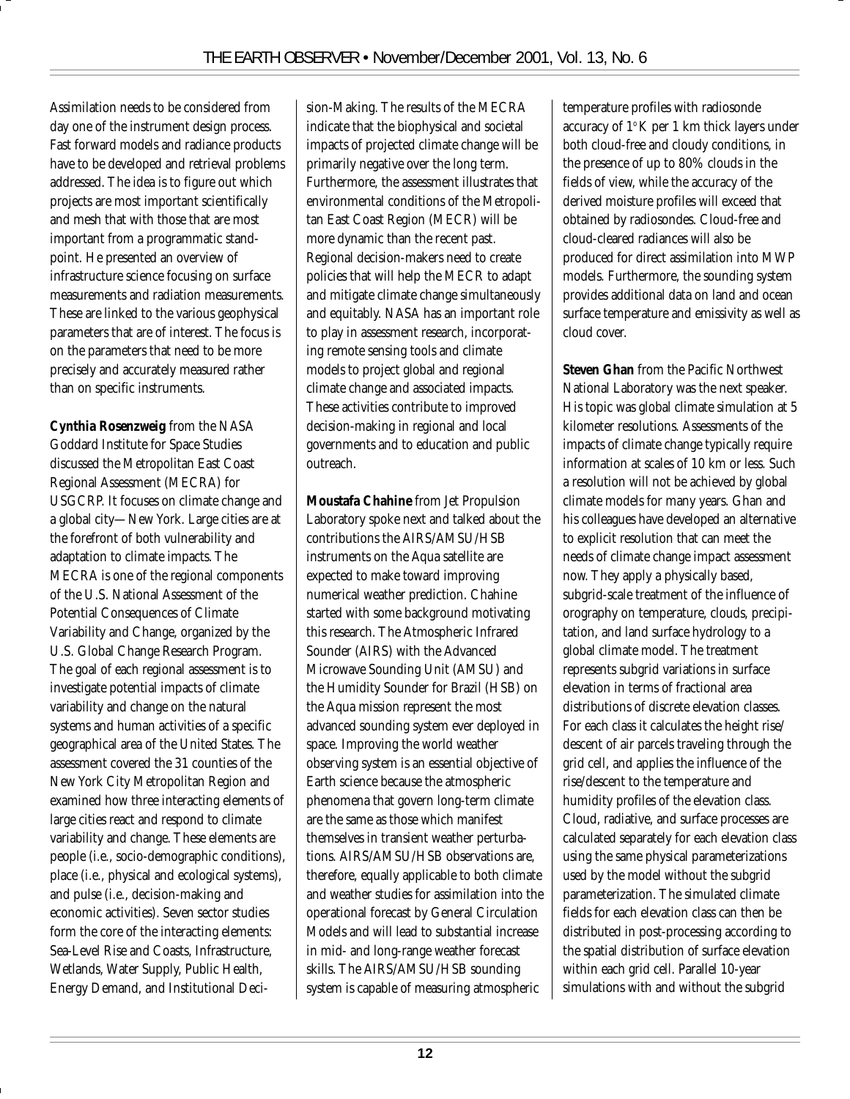Assimilation needs to be considered from day one of the instrument design process. Fast forward models and radiance products have to be developed and retrieval problems addressed. The idea is to figure out which projects are most important scientifically and mesh that with those that are most important from a programmatic standpoint. He presented an overview of infrastructure science focusing on surface measurements and radiation measurements. These are linked to the various geophysical parameters that are of interest. The focus is on the parameters that need to be more precisely and accurately measured rather than on specific instruments.

**Cynthia Rosenzweig** from the NASA Goddard Institute for Space Studies discussed the Metropolitan East Coast Regional Assessment (MECRA) for USGCRP. It focuses on climate change and a global city—New York. Large cities are at the forefront of both vulnerability and adaptation to climate impacts. The MECRA is one of the regional components of the U.S. National Assessment of the Potential Consequences of Climate Variability and Change, organized by the U.S. Global Change Research Program. The goal of each regional assessment is to investigate potential impacts of climate variability and change on the natural systems and human activities of a specific geographical area of the United States. The assessment covered the 31 counties of the New York City Metropolitan Region and examined how three interacting elements of large cities react and respond to climate variability and change. These elements are people (i.e., socio-demographic conditions), place (i.e., physical and ecological systems), and pulse (i.e., decision-making and economic activities). Seven sector studies form the core of the interacting elements: Sea-Level Rise and Coasts, Infrastructure, Wetlands, Water Supply, Public Health, Energy Demand, and Institutional Decision-Making. The results of the MECRA indicate that the biophysical and societal impacts of projected climate change will be primarily negative over the long term. Furthermore, the assessment illustrates that environmental conditions of the Metropolitan East Coast Region (MECR) will be more dynamic than the recent past. Regional decision-makers need to create policies that will help the MECR to adapt and mitigate climate change simultaneously and equitably. NASA has an important role to play in assessment research, incorporating remote sensing tools and climate models to project global and regional climate change and associated impacts. These activities contribute to improved decision-making in regional and local governments and to education and public outreach.

**Moustafa Chahine** from Jet Propulsion Laboratory spoke next and talked about the contributions the AIRS/AMSU/HSB instruments on the Aqua satellite are expected to make toward improving numerical weather prediction. Chahine started with some background motivating this research. The Atmospheric Infrared Sounder (AIRS) with the Advanced Microwave Sounding Unit (AMSU) and the Humidity Sounder for Brazil (HSB) on the Aqua mission represent the most advanced sounding system ever deployed in space. Improving the world weather observing system is an essential objective of Earth science because the atmospheric phenomena that govern long-term climate are the same as those which manifest themselves in transient weather perturbations. AIRS/AMSU/HSB observations are, therefore, equally applicable to both climate and weather studies for assimilation into the operational forecast by General Circulation Models and will lead to substantial increase in mid- and long-range weather forecast skills. The AIRS/AMSU/HSB sounding system is capable of measuring atmospheric

temperature profiles with radiosonde accuracy of  $1^\circ$ K per 1 km thick layers under both cloud-free and cloudy conditions, in the presence of up to 80% clouds in the fields of view, while the accuracy of the derived moisture profiles will exceed that obtained by radiosondes. Cloud-free and cloud-cleared radiances will also be produced for direct assimilation into MWP models. Furthermore, the sounding system provides additional data on land and ocean surface temperature and emissivity as well as cloud cover.

**Steven Ghan** from the Pacific Northwest National Laboratory was the next speaker. His topic was global climate simulation at 5 kilometer resolutions. Assessments of the impacts of climate change typically require information at scales of 10 km or less. Such a resolution will not be achieved by global climate models for many years. Ghan and his colleagues have developed an alternative to explicit resolution that can meet the needs of climate change impact assessment now. They apply a physically based, subgrid-scale treatment of the influence of orography on temperature, clouds, precipitation, and land surface hydrology to a global climate model. The treatment represents subgrid variations in surface elevation in terms of fractional area distributions of discrete elevation classes. For each class it calculates the height rise/ descent of air parcels traveling through the grid cell, and applies the influence of the rise/descent to the temperature and humidity profiles of the elevation class. Cloud, radiative, and surface processes are calculated separately for each elevation class using the same physical parameterizations used by the model without the subgrid parameterization. The simulated climate fields for each elevation class can then be distributed in post-processing according to the spatial distribution of surface elevation within each grid cell. Parallel 10-year simulations with and without the subgrid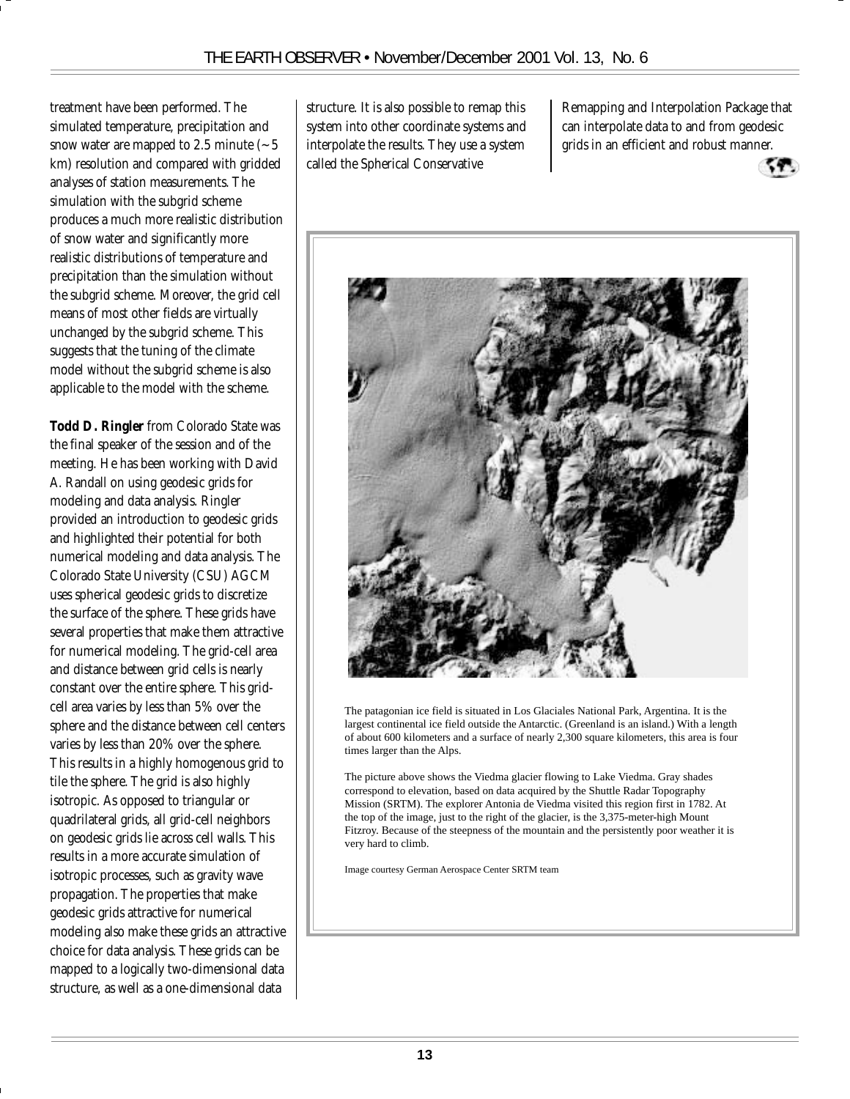treatment have been performed. The simulated temperature, precipitation and snow water are mapped to 2.5 minute  $\sim$  5 km) resolution and compared with gridded analyses of station measurements. The simulation with the subgrid scheme produces a much more realistic distribution of snow water and significantly more realistic distributions of temperature and precipitation than the simulation without the subgrid scheme. Moreover, the grid cell means of most other fields are virtually unchanged by the subgrid scheme. This suggests that the tuning of the climate model without the subgrid scheme is also applicable to the model with the scheme.

**Todd D. Ringler** from Colorado State was the final speaker of the session and of the meeting. He has been working with David A. Randall on using geodesic grids for modeling and data analysis. Ringler provided an introduction to geodesic grids and highlighted their potential for both numerical modeling and data analysis. The Colorado State University (CSU) AGCM uses spherical geodesic grids to discretize the surface of the sphere. These grids have several properties that make them attractive for numerical modeling. The grid-cell area and distance between grid cells is nearly constant over the entire sphere. This gridcell area varies by less than 5% over the sphere and the distance between cell centers varies by less than 20% over the sphere. This results in a highly homogenous grid to tile the sphere. The grid is also highly isotropic. As opposed to triangular or quadrilateral grids, all grid-cell neighbors on geodesic grids lie across cell walls. This results in a more accurate simulation of isotropic processes, such as gravity wave propagation. The properties that make geodesic grids attractive for numerical modeling also make these grids an attractive choice for data analysis. These grids can be mapped to a logically two-dimensional data structure, as well as a one-dimensional data

structure. It is also possible to remap this system into other coordinate systems and interpolate the results. They use a system called the Spherical Conservative

Remapping and Interpolation Package that can interpolate data to and from geodesic grids in an efficient and robust manner.





The patagonian ice field is situated in Los Glaciales National Park, Argentina. It is the largest continental ice field outside the Antarctic. (Greenland is an island.) With a length of about 600 kilometers and a surface of nearly 2,300 square kilometers, this area is four times larger than the Alps.

The picture above shows the Viedma glacier flowing to Lake Viedma. Gray shades correspond to elevation, based on data acquired by the Shuttle Radar Topography Mission (SRTM). The explorer Antonia de Viedma visited this region first in 1782. At the top of the image, just to the right of the glacier, is the 3,375-meter-high Mount Fitzroy. Because of the steepness of the mountain and the persistently poor weather it is very hard to climb.

Image courtesy German Aerospace Center SRTM team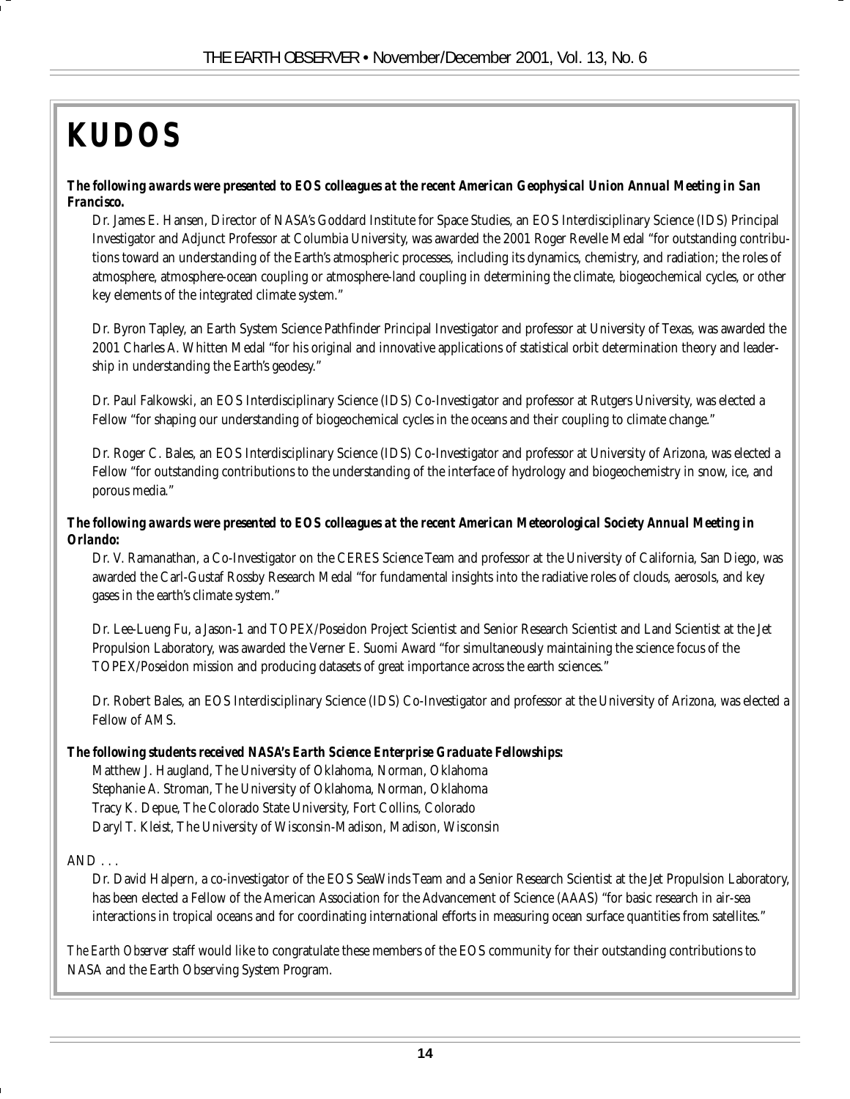# *KUDOS*

#### *The following awards were presented to EOS colleagues at the recent American Geophysical Union Annual Meeting in San Francisco.*

Dr. James E. Hansen, Director of NASA's Goddard Institute for Space Studies, an EOS Interdisciplinary Science (IDS) Principal Investigator and Adjunct Professor at Columbia University, was awarded the 2001 Roger Revelle Medal "for outstanding contributions toward an understanding of the Earth's atmospheric processes, including its dynamics, chemistry, and radiation; the roles of atmosphere, atmosphere-ocean coupling or atmosphere-land coupling in determining the climate, biogeochemical cycles, or other key elements of the integrated climate system."

Dr. Byron Tapley, an Earth System Science Pathfinder Principal Investigator and professor at University of Texas, was awarded the 2001 Charles A. Whitten Medal "for his original and innovative applications of statistical orbit determination theory and leadership in understanding the Earth's geodesy."

Dr. Paul Falkowski, an EOS Interdisciplinary Science (IDS) Co-Investigator and professor at Rutgers University, was elected a Fellow "for shaping our understanding of biogeochemical cycles in the oceans and their coupling to climate change."

Dr. Roger C. Bales, an EOS Interdisciplinary Science (IDS) Co-Investigator and professor at University of Arizona, was elected a Fellow "for outstanding contributions to the understanding of the interface of hydrology and biogeochemistry in snow, ice, and porous media."

#### *The following awards were presented to EOS colleagues at the recent American Meteorological Society Annual Meeting in Orlando:*

Dr. V. Ramanathan, a Co-Investigator on the CERES Science Team and professor at the University of California, San Diego, was awarded the Carl-Gustaf Rossby Research Medal "for fundamental insights into the radiative roles of clouds, aerosols, and key gases in the earth's climate system."

Dr. Lee-Lueng Fu, a Jason-1 and TOPEX/Poseidon Project Scientist and Senior Research Scientist and Land Scientist at the Jet Propulsion Laboratory, was awarded the Verner E. Suomi Award "for simultaneously maintaining the science focus of the TOPEX/Poseidon mission and producing datasets of great importance across the earth sciences."

Dr. Robert Bales, an EOS Interdisciplinary Science (IDS) Co-Investigator and professor at the University of Arizona, was elected a Fellow of AMS.

#### *The following students received NASA's Earth Science Enterprise Graduate Fellowships:*

Matthew J. Haugland, The University of Oklahoma, Norman, Oklahoma Stephanie A. Stroman, The University of Oklahoma, Norman, Oklahoma Tracy K. Depue, The Colorado State University, Fort Collins, Colorado Daryl T. Kleist, The University of Wisconsin-Madison, Madison, Wisconsin

#### $AND...$

Dr. David Halpern, a co-investigator of the EOS SeaWinds Team and a Senior Research Scientist at the Jet Propulsion Laboratory, has been elected a Fellow of the American Association for the Advancement of Science (AAAS) "for basic research in air-sea interactions in tropical oceans and for coordinating international efforts in measuring ocean surface quantities from satellites."

*The Earth Observer* staff would like to congratulate these members of the EOS community for their outstanding contributions to NASA and the Earth Observing System Program.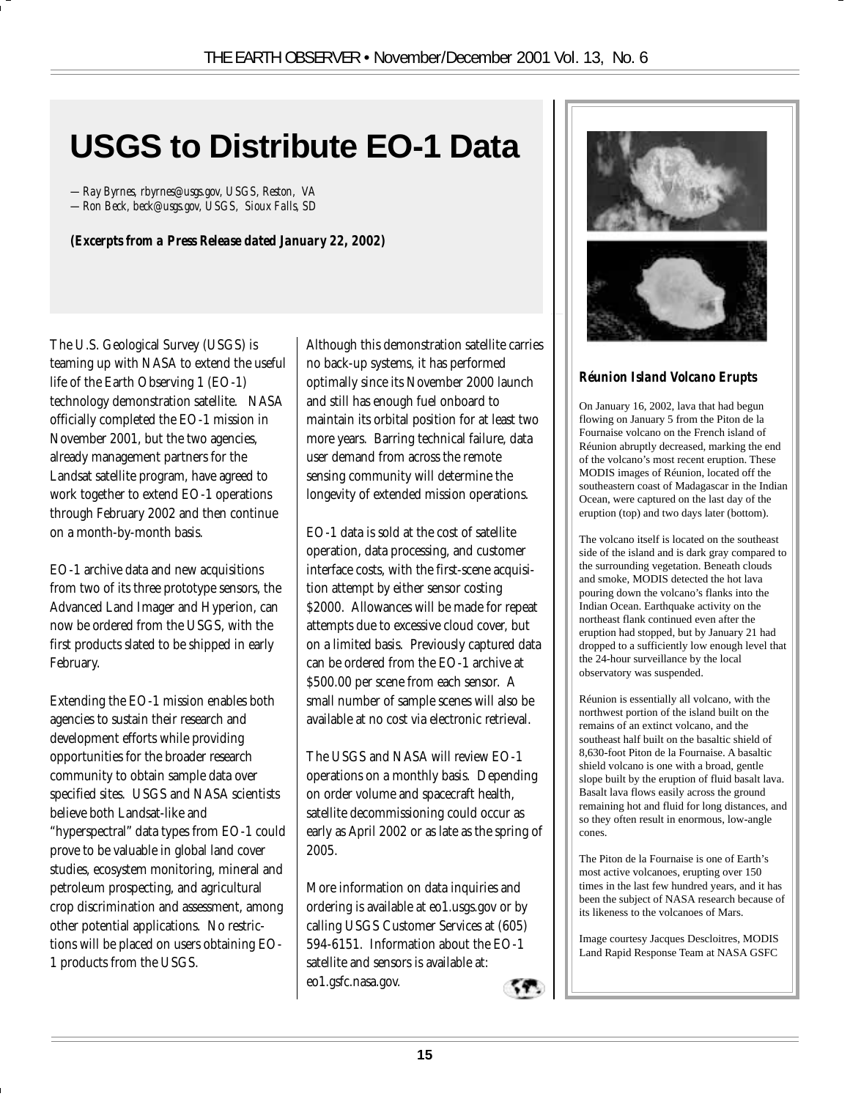# **USGS to Distribute EO-1 Data**

*—Ray Byrnes, rbyrnes@usgs.gov, USGS, Reston, VA —Ron Beck, beck@usgs.gov, USGS, Sioux Falls, SD*

*(Excerpts from a Press Release dated January 22, 2002)*

The U.S. Geological Survey (USGS) is teaming up with NASA to extend the useful life of the Earth Observing 1 (EO-1) technology demonstration satellite. NASA officially completed the EO-1 mission in November 2001, but the two agencies, already management partners for the Landsat satellite program, have agreed to work together to extend EO-1 operations through February 2002 and then continue on a month-by-month basis.

EO-1 archive data and new acquisitions from two of its three prototype sensors, the Advanced Land Imager and Hyperion, can now be ordered from the USGS, with the first products slated to be shipped in early February.

Extending the EO-1 mission enables both agencies to sustain their research and development efforts while providing opportunities for the broader research community to obtain sample data over specified sites. USGS and NASA scientists believe both Landsat-like and "hyperspectral" data types from EO-1 could prove to be valuable in global land cover studies, ecosystem monitoring, mineral and petroleum prospecting, and agricultural crop discrimination and assessment, among other potential applications. No restrictions will be placed on users obtaining EO-1 products from the USGS.

Although this demonstration satellite carries no back-up systems, it has performed optimally since its November 2000 launch and still has enough fuel onboard to maintain its orbital position for at least two more years. Barring technical failure, data user demand from across the remote sensing community will determine the longevity of extended mission operations.

EO-1 data is sold at the cost of satellite operation, data processing, and customer interface costs, with the first-scene acquisition attempt by either sensor costing \$2000. Allowances will be made for repeat attempts due to excessive cloud cover, but on a limited basis. Previously captured data can be ordered from the EO-1 archive at \$500.00 per scene from each sensor. A small number of sample scenes will also be available at no cost via electronic retrieval.

The USGS and NASA will review EO-1 operations on a monthly basis. Depending on order volume and spacecraft health, satellite decommissioning could occur as early as April 2002 or as late as the spring of 2005.

More information on data inquiries and ordering is available at eo1.usgs.gov or by calling USGS Customer Services at (605) 594-6151. Information about the EO-1 satellite and sensors is available at: eo1.gsfc.nasa.gov.







#### *Réunion Island Volcano Erupts*

On January 16, 2002, lava that had begun flowing on January 5 from the Piton de la Fournaise volcano on the French island of Réunion abruptly decreased, marking the end of the volcano's most recent eruption. These MODIS images of Réunion, located off the southeastern coast of Madagascar in the Indian Ocean, were captured on the last day of the eruption (top) and two days later (bottom).

The volcano itself is located on the southeast side of the island and is dark gray compared to the surrounding vegetation. Beneath clouds and smoke, MODIS detected the hot lava pouring down the volcano's flanks into the Indian Ocean. Earthquake activity on the northeast flank continued even after the eruption had stopped, but by January 21 had dropped to a sufficiently low enough level that the 24-hour surveillance by the local observatory was suspended.

Réunion is essentially all volcano, with the northwest portion of the island built on the remains of an extinct volcano, and the southeast half built on the basaltic shield of 8,630-foot Piton de la Fournaise. A basaltic shield volcano is one with a broad, gentle slope built by the eruption of fluid basalt lava. Basalt lava flows easily across the ground remaining hot and fluid for long distances, and so they often result in enormous, low-angle cones.

The Piton de la Fournaise is one of Earth's most active volcanoes, erupting over 150 times in the last few hundred years, and it has been the subject of NASA research because of its likeness to the volcanoes of Mars.

Image courtesy Jacques Descloitres, MODIS Land Rapid Response Team at NASA GSFC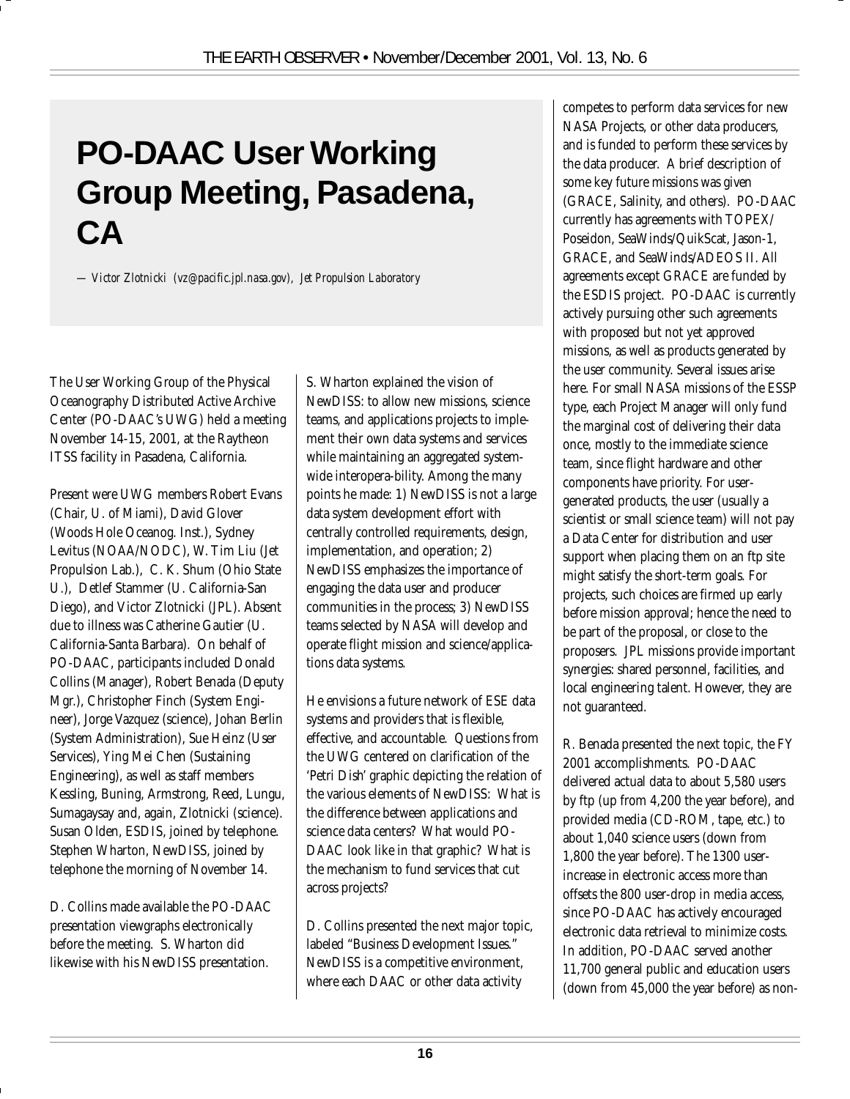# **PO-DAAC User Working Group Meeting, Pasadena, CA**

*— Victor Zlotnicki (vz@pacific.jpl.nasa.gov), Jet Propulsion Laboratory*

The User Working Group of the Physical Oceanography Distributed Active Archive Center (PO-DAAC's UWG) held a meeting November 14-15, 2001, at the Raytheon ITSS facility in Pasadena, California.

Present were UWG members Robert Evans (Chair, U. of Miami), David Glover (Woods Hole Oceanog. Inst.), Sydney Levitus (NOAA/NODC), W. Tim Liu (Jet Propulsion Lab.), C. K. Shum (Ohio State U.), Detlef Stammer (U. California-San Diego), and Victor Zlotnicki (JPL). Absent due to illness was Catherine Gautier (U. California-Santa Barbara). On behalf of PO-DAAC, participants included Donald Collins (Manager), Robert Benada (Deputy Mgr.), Christopher Finch (System Engineer), Jorge Vazquez (science), Johan Berlin (System Administration), Sue Heinz (User Services), Ying Mei Chen (Sustaining Engineering), as well as staff members Kessling, Buning, Armstrong, Reed, Lungu, Sumagaysay and, again, Zlotnicki (science). Susan Olden, ESDIS, joined by telephone. Stephen Wharton, NewDISS, joined by telephone the morning of November 14.

D. Collins made available the PO-DAAC presentation viewgraphs electronically before the meeting. S. Wharton did likewise with his NewDISS presentation.

S. Wharton explained the vision of NewDISS: to allow new missions, science teams, and applications projects to implement their own data systems and services while maintaining an aggregated systemwide interopera-bility. Among the many points he made: 1) NewDISS is not a large data system development effort with centrally controlled requirements, design, implementation, and operation; 2) NewDISS emphasizes the importance of engaging the data user and producer communities in the process; 3) NewDISS teams selected by NASA will develop and operate flight mission and science/applications data systems.

He envisions a future network of ESE data systems and providers that is flexible, effective, and accountable. Questions from the UWG centered on clarification of the 'Petri Dish' graphic depicting the relation of the various elements of NewDISS: What is the difference between applications and science data centers? What would PO-DAAC look like in that graphic? What is the mechanism to fund services that cut across projects?

D. Collins presented the next major topic, labeled "Business Development Issues." NewDISS is a competitive environment, where each DAAC or other data activity

competes to perform data services for new NASA Projects, or other data producers, and is funded to perform these services by the data producer. A brief description of some key future missions was given (GRACE, Salinity, and others). PO-DAAC currently has agreements with TOPEX/ Poseidon, SeaWinds/QuikScat, Jason-1, GRACE, and SeaWinds/ADEOS II. All agreements except GRACE are funded by the ESDIS project. PO-DAAC is currently actively pursuing other such agreements with proposed but not yet approved missions, as well as products generated by the user community. Several issues arise here. For small NASA missions of the ESSP type, each Project Manager will only fund the marginal cost of delivering their data once, mostly to the immediate science team, since flight hardware and other components have priority. For usergenerated products, the user (usually a scientist or small science team) will not pay a Data Center for distribution and user support when placing them on an ftp site might satisfy the short-term goals. For projects, such choices are firmed up early before mission approval; hence the need to be part of the proposal, or close to the proposers. JPL missions provide important synergies: shared personnel, facilities, and local engineering talent. However, they are not guaranteed.

R. Benada presented the next topic, the FY 2001 accomplishments. PO-DAAC delivered actual data to about 5,580 users by ftp (up from 4,200 the year before), and provided media (CD-ROM, tape, etc.) to about 1,040 science users (down from 1,800 the year before). The 1300 userincrease in electronic access more than offsets the 800 user-drop in media access, since PO-DAAC has actively encouraged electronic data retrieval to minimize costs. In addition, PO-DAAC served another 11,700 general public and education users (down from 45,000 the year before) as non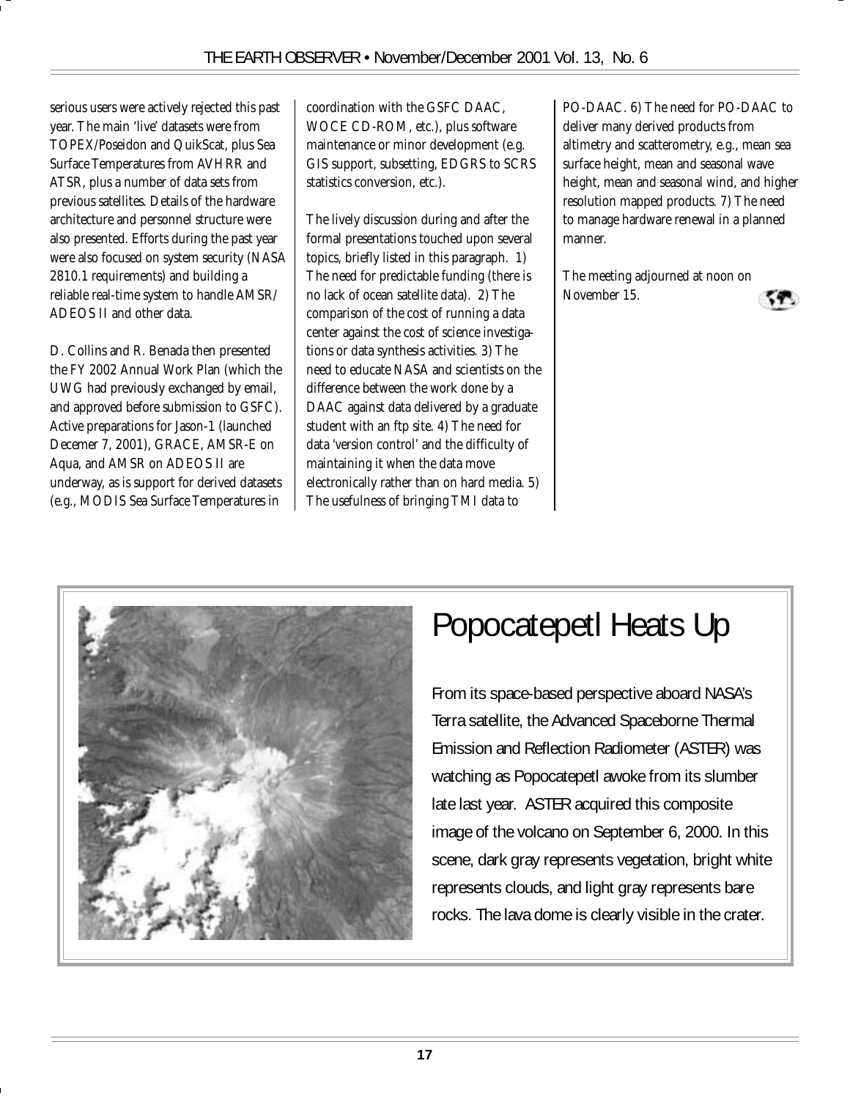serious users were actively rejected this past year. The main 'live' datasets were from TOPEX/Poseidon and QuikScat, plus Sea Surface Temperatures from AVHRR and ATSR, plus a number of data sets from previous satellites. Details of the hardware architecture and personnel structure were also presented. Efforts during the past year were also focused on system security (NASA 2810.1 requirements) and building a reliable real-time system to handle AMSR/ ADEOS II and other data.

D. Collins and R. Benada then presented the FY 2002 Annual Work Plan (which the UWG had previously exchanged by email, and approved before submission to GSFC). Active preparations for Jason-1 (launched Decemer 7, 2001), GRACE, AMSR-E on Aqua, and AMSR on ADEOS II are underway, as is support for derived datasets (e.g., MODIS Sea Surface Temperatures in

coordination with the GSFC DAAC, WOCE CD-ROM, etc.), plus software maintenance or minor development (e.g. GIS support, subsetting, EDGRS to SCRS statistics conversion, etc.).

The lively discussion during and after the formal presentations touched upon several topics, briefly listed in this paragraph. 1) The need for predictable funding (there is no lack of ocean satellite data). 2) The comparison of the cost of running a data center against the cost of science investigations or data synthesis activities. 3) The need to educate NASA and scientists on the difference between the work done by a DAAC against data delivered by a graduate student with an ftp site. 4) The need for data 'version control' and the difficulty of maintaining it when the data move electronically rather than on hard media. 5) The usefulness of bringing TMI data to

PO-DAAC. 6) The need for PO-DAAC to deliver many derived products from altimetry and scatterometry, e.g., mean sea surface height, mean and seasonal wave height, mean and seasonal wind, and higher resolution mapped products. 7) The need to manage hardware renewal in a planned manner.

The meeting adjourned at noon on November 15.





## Popocatepetl Heats Up

From its space-based perspective aboard NASA's Terra satellite, the Advanced Spaceborne Thermal Emission and Reflection Radiometer (ASTER) was watching as Popocatepetl awoke from its slumber late last year. ASTER acquired this composite image of the volcano on September 6, 2000. In this scene, dark gray represents vegetation, bright white represents clouds, and light gray represents bare rocks. The lava dome is clearly visible in the crater.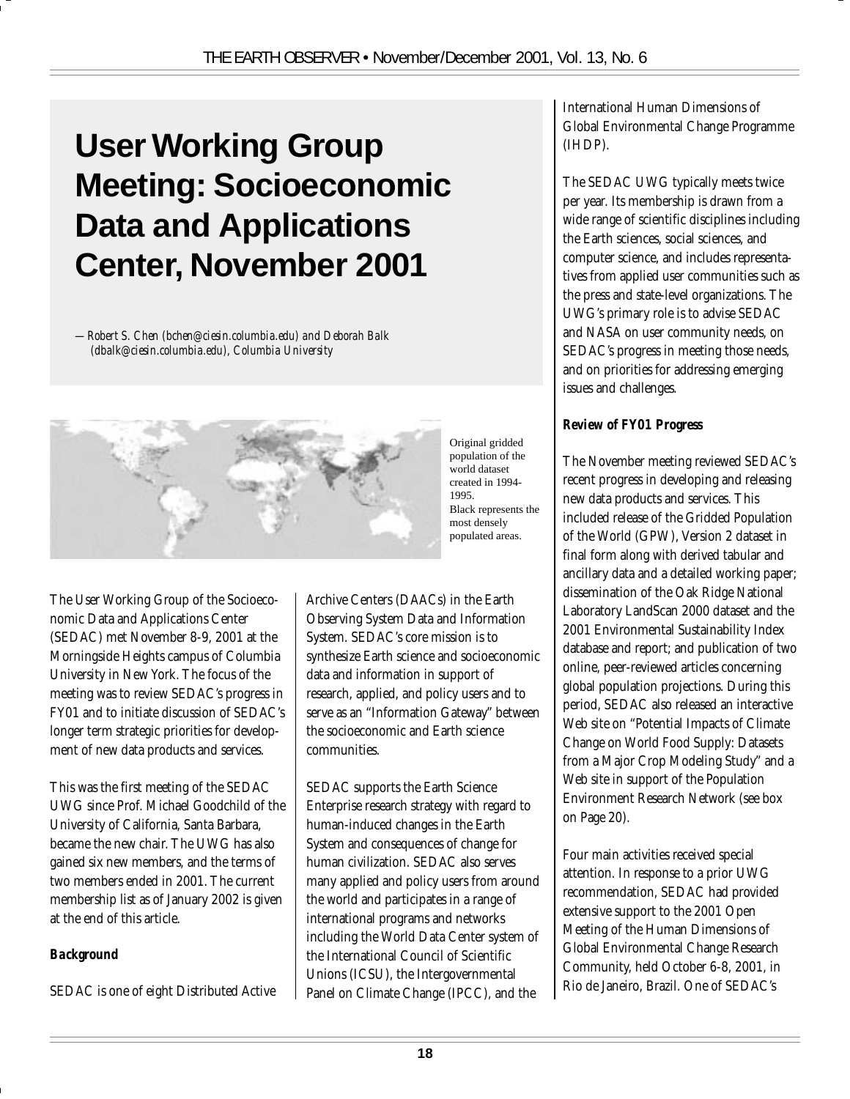# **User Working Group Meeting: Socioeconomic Data and Applications Center, November 2001**

*—Robert S. Chen (bchen@ciesin.columbia.edu) and Deborah Balk (dbalk@ciesin.columbia.edu), Columbia University*



The User Working Group of the Socioeconomic Data and Applications Center (SEDAC) met November 8-9, 2001 at the Morningside Heights campus of Columbia University in New York. The focus of the meeting was to review SEDAC's progress in FY01 and to initiate discussion of SEDAC's longer term strategic priorities for development of new data products and services.

This was the first meeting of the SEDAC UWG since Prof. Michael Goodchild of the University of California, Santa Barbara, became the new chair. The UWG has also gained six new members, and the terms of two members ended in 2001. The current membership list as of January 2002 is given at the end of this article.

#### *Background*

SEDAC is one of eight Distributed Active

Archive Centers (DAACs) in the Earth Observing System Data and Information System. SEDAC's core mission is to synthesize Earth science and socioeconomic data and information in support of research, applied, and policy users and to serve as an "Information Gateway" between the socioeconomic and Earth science communities.

SEDAC supports the Earth Science Enterprise research strategy with regard to human-induced changes in the Earth System and consequences of change for human civilization. SEDAC also serves many applied and policy users from around the world and participates in a range of international programs and networks including the World Data Center system of the International Council of Scientific Unions (ICSU), the Intergovernmental Panel on Climate Change (IPCC), and the

International Human Dimensions of Global Environmental Change Programme (IHDP).

The SEDAC UWG typically meets twice per year. Its membership is drawn from a wide range of scientific disciplines including the Earth sciences, social sciences, and computer science, and includes representatives from applied user communities such as the press and state-level organizations. The UWG's primary role is to advise SEDAC and NASA on user community needs, on SEDAC's progress in meeting those needs, and on priorities for addressing emerging issues and challenges.

#### *Review of FY01 Progress*

The November meeting reviewed SEDAC's recent progress in developing and releasing new data products and services. This included release of the Gridded Population of the World (GPW), Version 2 dataset in final form along with derived tabular and ancillary data and a detailed working paper; dissemination of the Oak Ridge National Laboratory LandScan 2000 dataset and the 2001 Environmental Sustainability Index database and report; and publication of two online, peer-reviewed articles concerning global population projections. During this period, SEDAC also released an interactive Web site on "Potential Impacts of Climate Change on World Food Supply: Datasets from a Major Crop Modeling Study" and a Web site in support of the Population Environment Research Network (see box on Page 20).

Four main activities received special attention. In response to a prior UWG recommendation, SEDAC had provided extensive support to the 2001 Open Meeting of the Human Dimensions of Global Environmental Change Research Community, held October 6-8, 2001, in Rio de Janeiro, Brazil. One of SEDAC's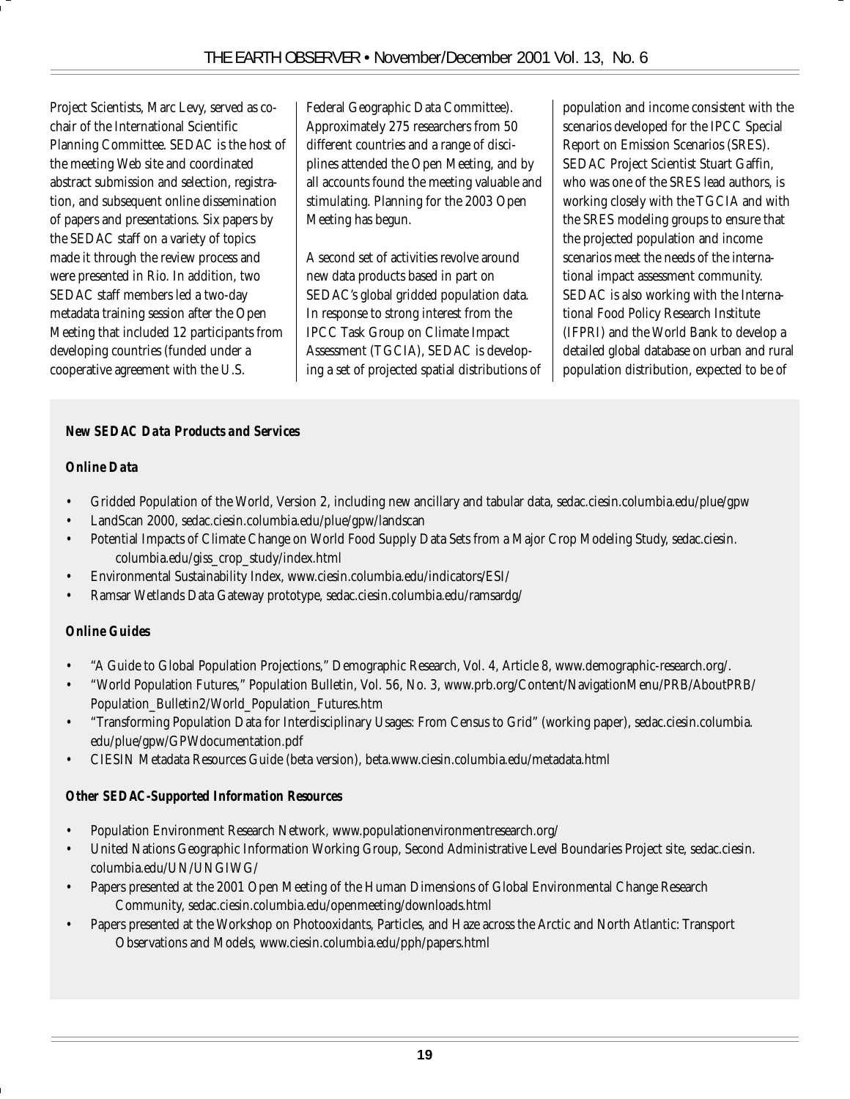Project Scientists, Marc Levy, served as cochair of the International Scientific Planning Committee. SEDAC is the host of the meeting Web site and coordinated abstract submission and selection, registration, and subsequent online dissemination of papers and presentations. Six papers by the SEDAC staff on a variety of topics made it through the review process and were presented in Rio. In addition, two SEDAC staff members led a two-day metadata training session after the Open Meeting that included 12 participants from developing countries (funded under a cooperative agreement with the U.S.

Federal Geographic Data Committee). Approximately 275 researchers from 50 different countries and a range of disciplines attended the Open Meeting, and by all accounts found the meeting valuable and stimulating. Planning for the 2003 Open Meeting has begun.

A second set of activities revolve around new data products based in part on SEDAC's global gridded population data. In response to strong interest from the IPCC Task Group on Climate Impact Assessment (TGCIA), SEDAC is developing a set of projected spatial distributions of population and income consistent with the scenarios developed for the IPCC Special Report on Emission Scenarios (SRES). SEDAC Project Scientist Stuart Gaffin, who was one of the SRES lead authors, is working closely with the TGCIA and with the SRES modeling groups to ensure that the projected population and income scenarios meet the needs of the international impact assessment community. SEDAC is also working with the International Food Policy Research Institute (IFPRI) and the World Bank to develop a detailed global database on urban and rural population distribution, expected to be of

#### *New SEDAC Data Products and Services*

#### *Online Data*

- Gridded Population of the World, Version 2, including new ancillary and tabular data, sedac.ciesin.columbia.edu/plue/gpw
- LandScan 2000, sedac.ciesin.columbia.edu/plue/gpw/landscan
- Potential Impacts of Climate Change on World Food Supply Data Sets from a Major Crop Modeling Study, sedac.ciesin. columbia.edu/giss\_crop\_study/index.html
- Environmental Sustainability Index, www.ciesin.columbia.edu/indicators/ESI/
- Ramsar Wetlands Data Gateway prototype, sedac.ciesin.columbia.edu/ramsardg/

#### *Online Guides*

- "A Guide to Global Population Projections," Demographic Research, Vol. 4, Article 8, www.demographic-research.org/.
- "World Population Futures," Population Bulletin, Vol. 56, No. 3, www.prb.org/Content/NavigationMenu/PRB/AboutPRB/ Population\_Bulletin2/World\_Population\_Futures.htm
- "Transforming Population Data for Interdisciplinary Usages: From Census to Grid" (working paper), sedac.ciesin.columbia. edu/plue/gpw/GPWdocumentation.pdf
- CIESIN Metadata Resources Guide (beta version), beta.www.ciesin.columbia.edu/metadata.html

#### *Other SEDAC-Supported Information Resources*

- Population Environment Research Network, www.populationenvironmentresearch.org/
- United Nations Geographic Information Working Group, Second Administrative Level Boundaries Project site, sedac.ciesin. columbia.edu/UN/UNGIWG/
- Papers presented at the 2001 Open Meeting of the Human Dimensions of Global Environmental Change Research Community, sedac.ciesin.columbia.edu/openmeeting/downloads.html
- Papers presented at the Workshop on Photooxidants, Particles, and Haze across the Arctic and North Atlantic: Transport Observations and Models, www.ciesin.columbia.edu/pph/papers.html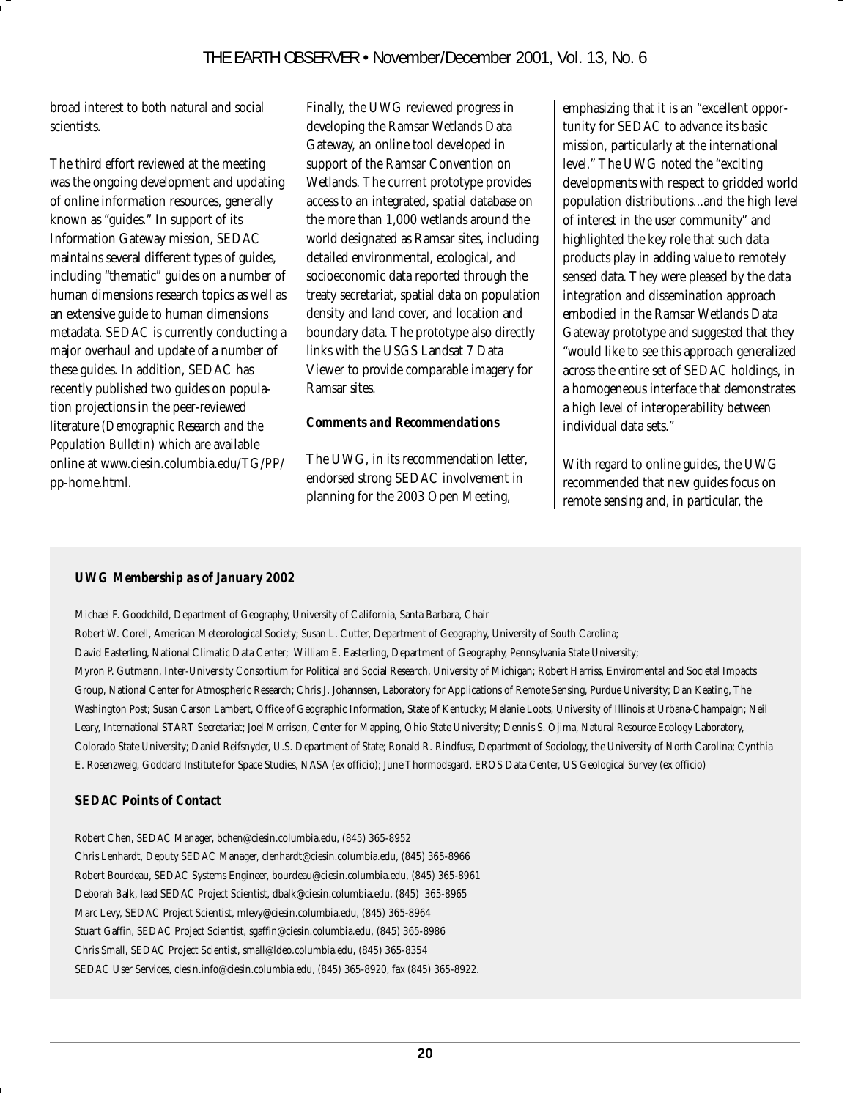broad interest to both natural and social scientists.

The third effort reviewed at the meeting was the ongoing development and updating of online information resources, generally known as "guides." In support of its Information Gateway mission, SEDAC maintains several different types of guides, including "thematic" guides on a number of human dimensions research topics as well as an extensive guide to human dimensions metadata. SEDAC is currently conducting a major overhaul and update of a number of these guides. In addition, SEDAC has recently published two guides on population projections in the peer-reviewed literature *(Demographic Research and the Population Bulletin*) which are available online at www.ciesin.columbia.edu/TG/PP/ pp-home.html.

Finally, the UWG reviewed progress in developing the Ramsar Wetlands Data Gateway, an online tool developed in support of the Ramsar Convention on Wetlands. The current prototype provides access to an integrated, spatial database on the more than 1,000 wetlands around the world designated as Ramsar sites, including detailed environmental, ecological, and socioeconomic data reported through the treaty secretariat, spatial data on population density and land cover, and location and boundary data. The prototype also directly links with the USGS Landsat 7 Data Viewer to provide comparable imagery for Ramsar sites.

#### *Comments and Recommendations*

The UWG, in its recommendation letter, endorsed strong SEDAC involvement in planning for the 2003 Open Meeting,

emphasizing that it is an "excellent opportunity for SEDAC to advance its basic mission, particularly at the international level." The UWG noted the "exciting developments with respect to gridded world population distributions...and the high level of interest in the user community" and highlighted the key role that such data products play in adding value to remotely sensed data. They were pleased by the data integration and dissemination approach embodied in the Ramsar Wetlands Data Gateway prototype and suggested that they "would like to see this approach generalized across the entire set of SEDAC holdings, in a homogeneous interface that demonstrates a high level of interoperability between individual data sets."

With regard to online guides, the UWG recommended that new guides focus on remote sensing and, in particular, the

#### *UWG Membership as of January 2002*

Michael F. Goodchild, Department of Geography, University of California, Santa Barbara, Chair

Robert W. Corell, American Meteorological Society; Susan L. Cutter, Department of Geography, University of South Carolina; David Easterling, National Climatic Data Center; William E. Easterling, Department of Geography, Pennsylvania State University; Myron P. Gutmann, Inter-University Consortium for Political and Social Research, University of Michigan; Robert Harriss, Enviromental and Societal Impacts Group, National Center for Atmospheric Research; Chris J. Johannsen, Laboratory for Applications of Remote Sensing, Purdue University; Dan Keating, The Washington Post; Susan Carson Lambert, Office of Geographic Information, State of Kentucky; Melanie Loots, University of Illinois at Urbana-Champaign; Neil Leary, International START Secretariat; Joel Morrison, Center for Mapping, Ohio State University; Dennis S. Ojima, Natural Resource Ecology Laboratory, Colorado State University; Daniel Reifsnyder, U.S. Department of State; Ronald R. Rindfuss, Department of Sociology, the University of North Carolina; Cynthia E. Rosenzweig, Goddard Institute for Space Studies, NASA (ex officio); June Thormodsgard, EROS Data Center, US Geological Survey (ex officio)

#### *SEDAC Points of Contact*

Robert Chen, SEDAC Manager, bchen@ciesin.columbia.edu, (845) 365-8952 Chris Lenhardt, Deputy SEDAC Manager, clenhardt@ciesin.columbia.edu, (845) 365-8966 Robert Bourdeau, SEDAC Systems Engineer, bourdeau@ciesin.columbia.edu, (845) 365-8961 Deborah Balk, lead SEDAC Project Scientist, dbalk@ciesin.columbia.edu, (845) 365-8965 Marc Levy, SEDAC Project Scientist, mlevy@ciesin.columbia.edu, (845) 365-8964 Stuart Gaffin, SEDAC Project Scientist, sgaffin@ciesin.columbia.edu, (845) 365-8986 Chris Small, SEDAC Project Scientist, small@ldeo.columbia.edu, (845) 365-8354 SEDAC User Services, ciesin.info@ciesin.columbia.edu, (845) 365-8920, fax (845) 365-8922.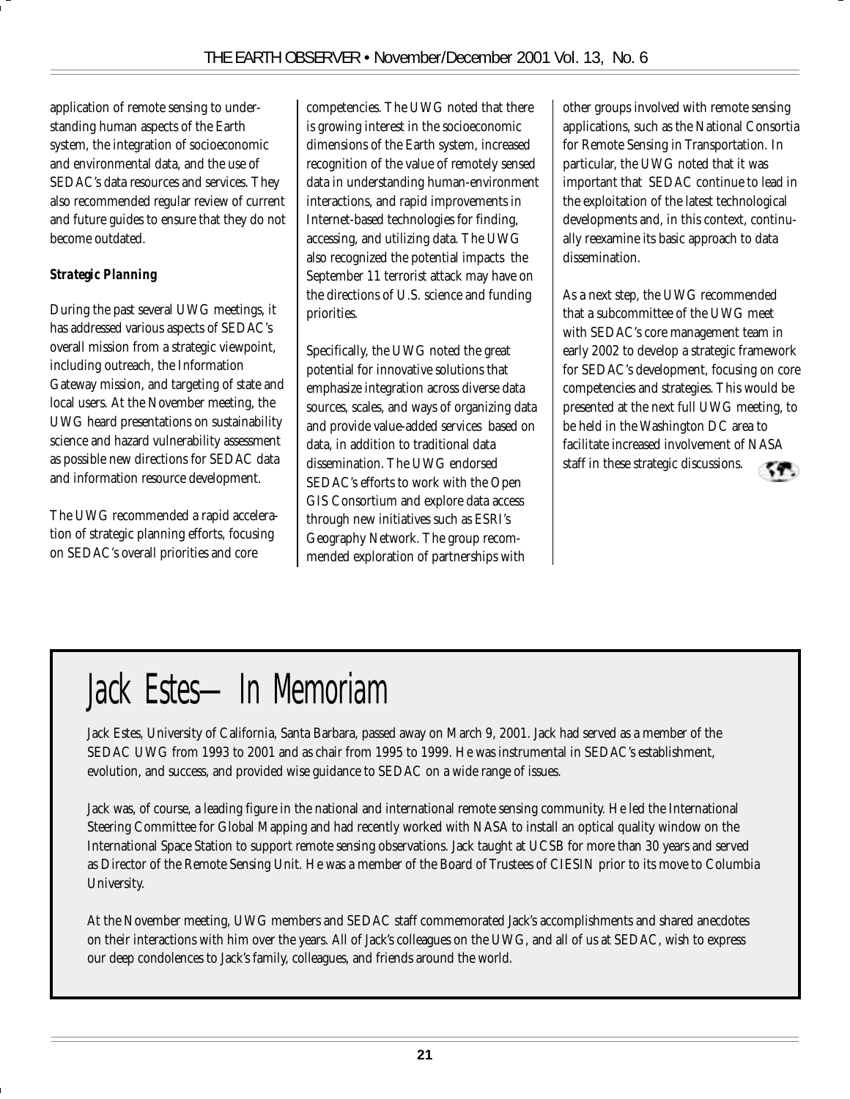application of remote sensing to understanding human aspects of the Earth system, the integration of socioeconomic and environmental data, and the use of SEDAC's data resources and services. They also recommended regular review of current and future guides to ensure that they do not become outdated.

#### *Strategic Planning*

During the past several UWG meetings, it has addressed various aspects of SEDAC's overall mission from a strategic viewpoint, including outreach, the Information Gateway mission, and targeting of state and local users. At the November meeting, the UWG heard presentations on sustainability science and hazard vulnerability assessment as possible new directions for SEDAC data and information resource development.

The UWG recommended a rapid acceleration of strategic planning efforts, focusing on SEDAC's overall priorities and core

competencies. The UWG noted that there is growing interest in the socioeconomic dimensions of the Earth system, increased recognition of the value of remotely sensed data in understanding human-environment interactions, and rapid improvements in Internet-based technologies for finding, accessing, and utilizing data. The UWG also recognized the potential impacts the September 11 terrorist attack may have on the directions of U.S. science and funding priorities.

Specifically, the UWG noted the great potential for innovative solutions that emphasize integration across diverse data sources, scales, and ways of organizing data and provide value-added services based on data, in addition to traditional data dissemination. The UWG endorsed SEDAC's efforts to work with the Open GIS Consortium and explore data access through new initiatives such as ESRI's Geography Network. The group recommended exploration of partnerships with

other groups involved with remote sensing applications, such as the National Consortia for Remote Sensing in Transportation. In particular, the UWG noted that it was important that SEDAC continue to lead in the exploitation of the latest technological developments and, in this context, continually reexamine its basic approach to data dissemination.

As a next step, the UWG recommended that a subcommittee of the UWG meet with SEDAC's core management team in early 2002 to develop a strategic framework for SEDAC's development, focusing on core competencies and strategies. This would be presented at the next full UWG meeting, to be held in the Washington DC area to facilitate increased involvement of NASA staff in these strategic discussions.



Jack Estes, University of California, Santa Barbara, passed away on March 9, 2001. Jack had served as a member of the SEDAC UWG from 1993 to 2001 and as chair from 1995 to 1999. He was instrumental in SEDAC's establishment, evolution, and success, and provided wise guidance to SEDAC on a wide range of issues.

Jack was, of course, a leading figure in the national and international remote sensing community. He led the International Steering Committee for Global Mapping and had recently worked with NASA to install an optical quality window on the International Space Station to support remote sensing observations. Jack taught at UCSB for more than 30 years and served as Director of the Remote Sensing Unit. He was a member of the Board of Trustees of CIESIN prior to its move to Columbia University.

At the November meeting, UWG members and SEDAC staff commemorated Jack's accomplishments and shared anecdotes on their interactions with him over the years. All of Jack's colleagues on the UWG, and all of us at SEDAC, wish to express our deep condolences to Jack's family, colleagues, and friends around the world.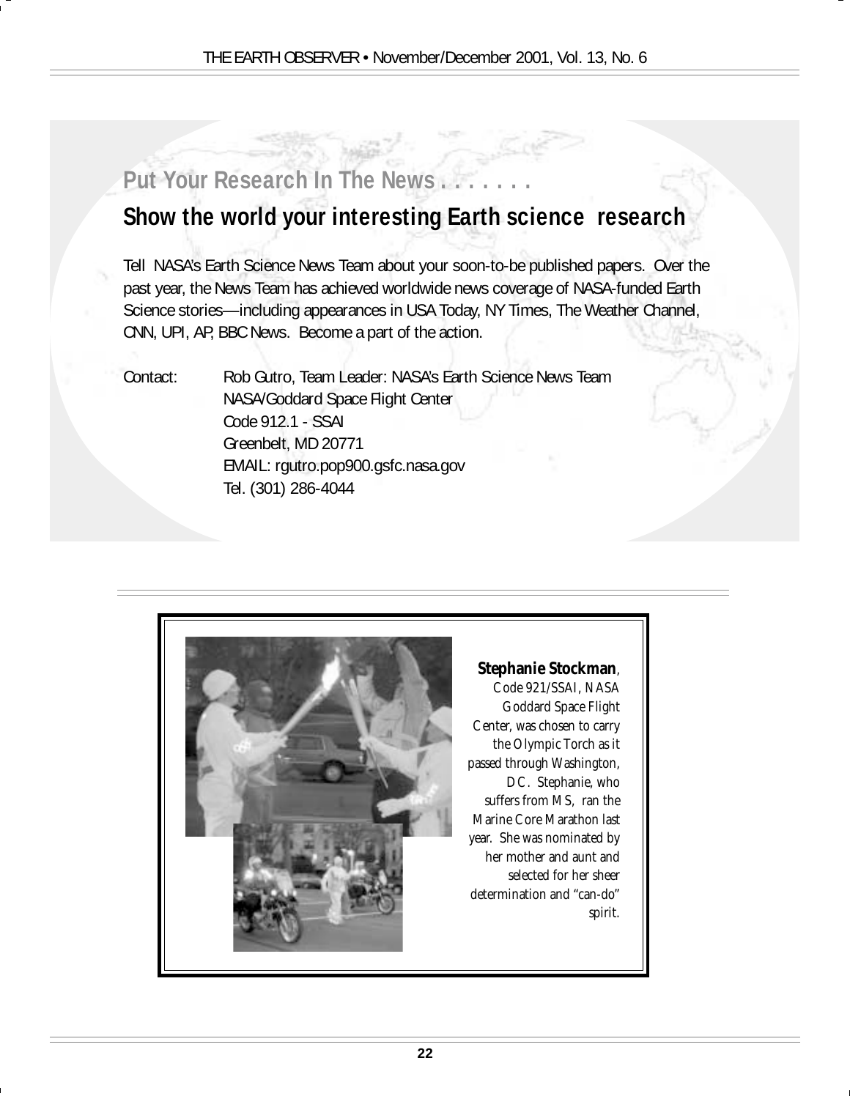## **Put Your Research In The News . . . . . . .**

## **Show the world your interesting Earth science research**

Tell NASA's Earth Science News Team about your soon-to-be published papers. Over the past year, the News Team has achieved worldwide news coverage of NASA-funded Earth Science stories—including appearances in USA Today, NY Times, The Weather Channel, CNN, UPI, AP, BBC News. Become a part of the action.

Contact: Rob Gutro, Team Leader: NASA's Earth Science News Team NASA/Goddard Space Flight Center Code 912.1 - SSAI Greenbelt, MD 20771 EMAIL: rgutro.pop900.gsfc.nasa.gov Tel. (301) 286-4044



#### **Stephanie Stockman**,

Code 921/SSAI, NASA Goddard Space Flight Center, was chosen to carry the Olympic Torch as it passed through Washington, DC. Stephanie, who suffers from MS, ran the Marine Core Marathon last year. She was nominated by her mother and aunt and selected for her sheer determination and "can-do" spirit.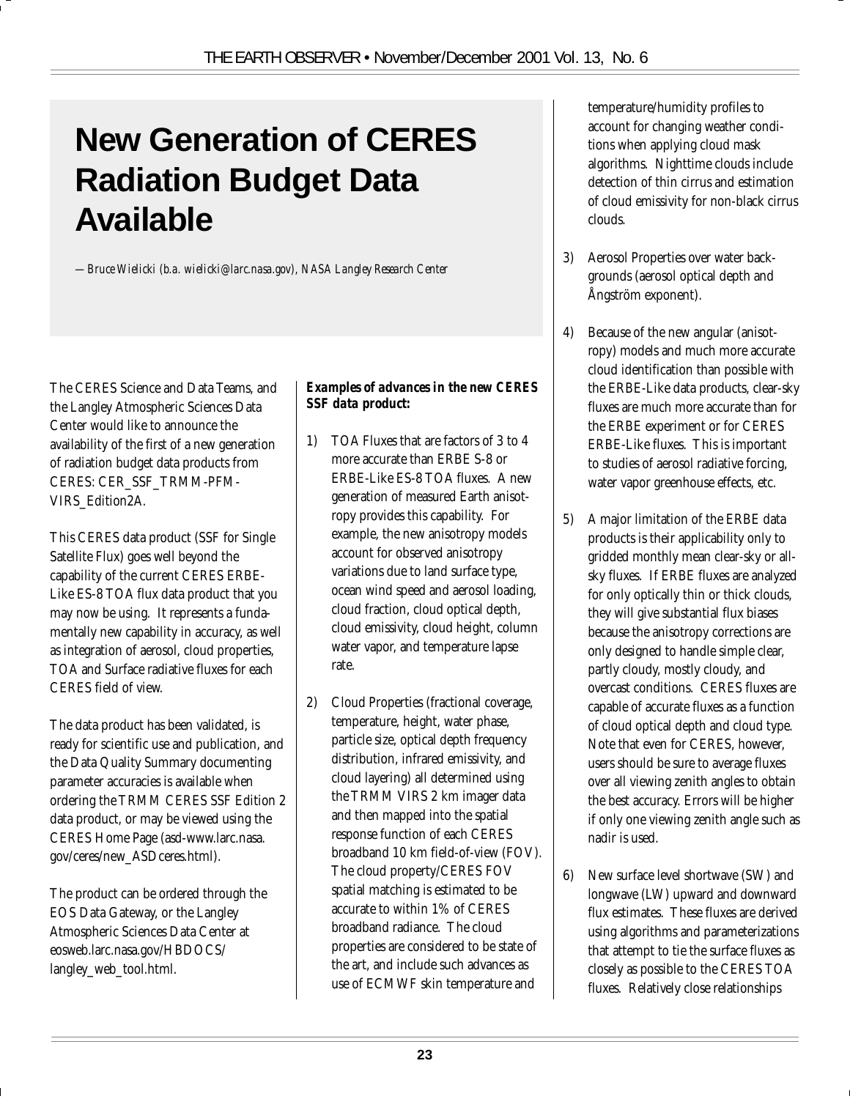## **New Generation of CERES Radiation Budget Data Available**

*—Bruce Wielicki (b.a. wielicki@larc.nasa.gov), NASA Langley Research Center*

The CERES Science and Data Teams, and the Langley Atmospheric Sciences Data Center would like to announce the availability of the first of a new generation of radiation budget data products from CERES: CER\_SSF\_TRMM-PFM-VIRS\_Edition2A.

This CERES data product (SSF for Single Satellite Flux) goes well beyond the capability of the current CERES ERBE-Like ES-8 TOA flux data product that you may now be using. It represents a fundamentally new capability in accuracy, as well as integration of aerosol, cloud properties, TOA and Surface radiative fluxes for each CERES field of view.

The data product has been validated, is ready for scientific use and publication, and the Data Quality Summary documenting parameter accuracies is available when ordering the TRMM CERES SSF Edition 2 data product, or may be viewed using the CERES Home Page (asd-www.larc.nasa. gov/ceres/new\_ASDceres.html).

The product can be ordered through the EOS Data Gateway, or the Langley Atmospheric Sciences Data Center at eosweb.larc.nasa.gov/HBDOCS/ langley\_web\_tool.html.

#### *Examples of advances in the new CERES SSF data product:*

- 1) TOA Fluxes that are factors of 3 to 4 more accurate than ERBE S-8 or ERBE-Like ES-8 TOA fluxes. A new generation of measured Earth anisotropy provides this capability. For example, the new anisotropy models account for observed anisotropy variations due to land surface type, ocean wind speed and aerosol loading, cloud fraction, cloud optical depth, cloud emissivity, cloud height, column water vapor, and temperature lapse rate.
- 2) Cloud Properties (fractional coverage, temperature, height, water phase, particle size, optical depth frequency distribution, infrared emissivity, and cloud layering) all determined using the TRMM VIRS 2 km imager data and then mapped into the spatial response function of each CERES broadband 10 km field-of-view (FOV). The cloud property/CERES FOV spatial matching is estimated to be accurate to within 1% of CERES broadband radiance. The cloud properties are considered to be state of the art, and include such advances as use of ECMWF skin temperature and

temperature/humidity profiles to account for changing weather conditions when applying cloud mask algorithms. Nighttime clouds include detection of thin cirrus and estimation of cloud emissivity for non-black cirrus clouds.

- 3) Aerosol Properties over water backgrounds (aerosol optical depth and Ångström exponent).
- 4) Because of the new angular (anisotropy) models and much more accurate cloud identification than possible with the ERBE-Like data products, clear-sky fluxes are much more accurate than for the ERBE experiment or for CERES ERBE-Like fluxes. This is important to studies of aerosol radiative forcing, water vapor greenhouse effects, etc.
- 5) A major limitation of the ERBE data products is their applicability only to gridded monthly mean clear-sky or allsky fluxes. If ERBE fluxes are analyzed for only optically thin or thick clouds, they will give substantial flux biases because the anisotropy corrections are only designed to handle simple clear, partly cloudy, mostly cloudy, and overcast conditions. CERES fluxes are capable of accurate fluxes as a function of cloud optical depth and cloud type. Note that even for CERES, however, users should be sure to average fluxes over all viewing zenith angles to obtain the best accuracy. Errors will be higher if only one viewing zenith angle such as nadir is used.
- 6) New surface level shortwave (SW) and longwave (LW) upward and downward flux estimates. These fluxes are derived using algorithms and parameterizations that attempt to tie the surface fluxes as closely as possible to the CERES TOA fluxes. Relatively close relationships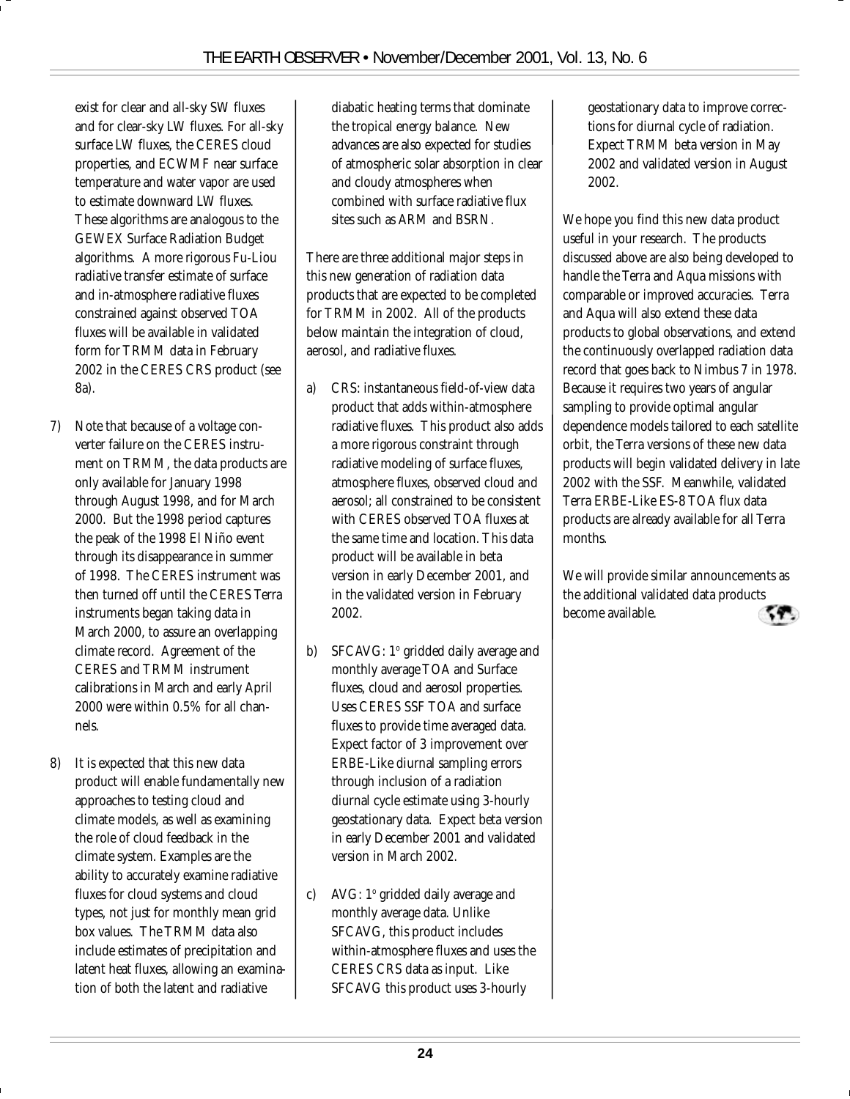exist for clear and all-sky SW fluxes and for clear-sky LW fluxes. For all-sky surface LW fluxes, the CERES cloud properties, and ECWMF near surface temperature and water vapor are used to estimate downward LW fluxes. These algorithms are analogous to the GEWEX Surface Radiation Budget algorithms. A more rigorous Fu-Liou radiative transfer estimate of surface and in-atmosphere radiative fluxes constrained against observed TOA fluxes will be available in validated form for TRMM data in February 2002 in the CERES CRS product (see 8a).

- 7) Note that because of a voltage converter failure on the CERES instrument on TRMM, the data products are only available for January 1998 through August 1998, and for March 2000. But the 1998 period captures the peak of the 1998 El Niño event through its disappearance in summer of 1998. The CERES instrument was then turned off until the CERES Terra instruments began taking data in March 2000, to assure an overlapping climate record. Agreement of the CERES and TRMM instrument calibrations in March and early April 2000 were within 0.5% for all channels.
- 8) It is expected that this new data product will enable fundamentally new approaches to testing cloud and climate models, as well as examining the role of cloud feedback in the climate system. Examples are the ability to accurately examine radiative fluxes for cloud systems and cloud types, not just for monthly mean grid box values. The TRMM data also include estimates of precipitation and latent heat fluxes, allowing an examination of both the latent and radiative

diabatic heating terms that dominate the tropical energy balance. New advances are also expected for studies of atmospheric solar absorption in clear and cloudy atmospheres when combined with surface radiative flux sites such as ARM and BSRN.

There are three additional major steps in this new generation of radiation data products that are expected to be completed for TRMM in 2002. All of the products below maintain the integration of cloud, aerosol, and radiative fluxes.

- a) CRS: instantaneous field-of-view data product that adds within-atmosphere radiative fluxes. This product also adds a more rigorous constraint through radiative modeling of surface fluxes, atmosphere fluxes, observed cloud and aerosol; all constrained to be consistent with CERES observed TOA fluxes at the same time and location. This data product will be available in beta version in early December 2001, and in the validated version in February 2002.
- b) SFCAVG: 1º gridded daily average and monthly average TOA and Surface fluxes, cloud and aerosol properties. Uses CERES SSF TOA and surface fluxes to provide time averaged data. Expect factor of 3 improvement over ERBE-Like diurnal sampling errors through inclusion of a radiation diurnal cycle estimate using 3-hourly geostationary data. Expect beta version in early December 2001 and validated version in March 2002.
- c) AVG: 1º gridded daily average and monthly average data. Unlike SFCAVG, this product includes within-atmosphere fluxes and uses the CERES CRS data as input. Like SFCAVG this product uses 3-hourly

geostationary data to improve corrections for diurnal cycle of radiation. Expect TRMM beta version in May 2002 and validated version in August 2002.

We hope you find this new data product useful in your research. The products discussed above are also being developed to handle the Terra and Aqua missions with comparable or improved accuracies. Terra and Aqua will also extend these data products to global observations, and extend the continuously overlapped radiation data record that goes back to Nimbus 7 in 1978. Because it requires two years of angular sampling to provide optimal angular dependence models tailored to each satellite orbit, the Terra versions of these new data products will begin validated delivery in late 2002 with the SSF. Meanwhile, validated Terra ERBE-Like ES-8 TOA flux data products are already available for all Terra months.

We will provide similar announcements as the additional validated data products become available.

**24**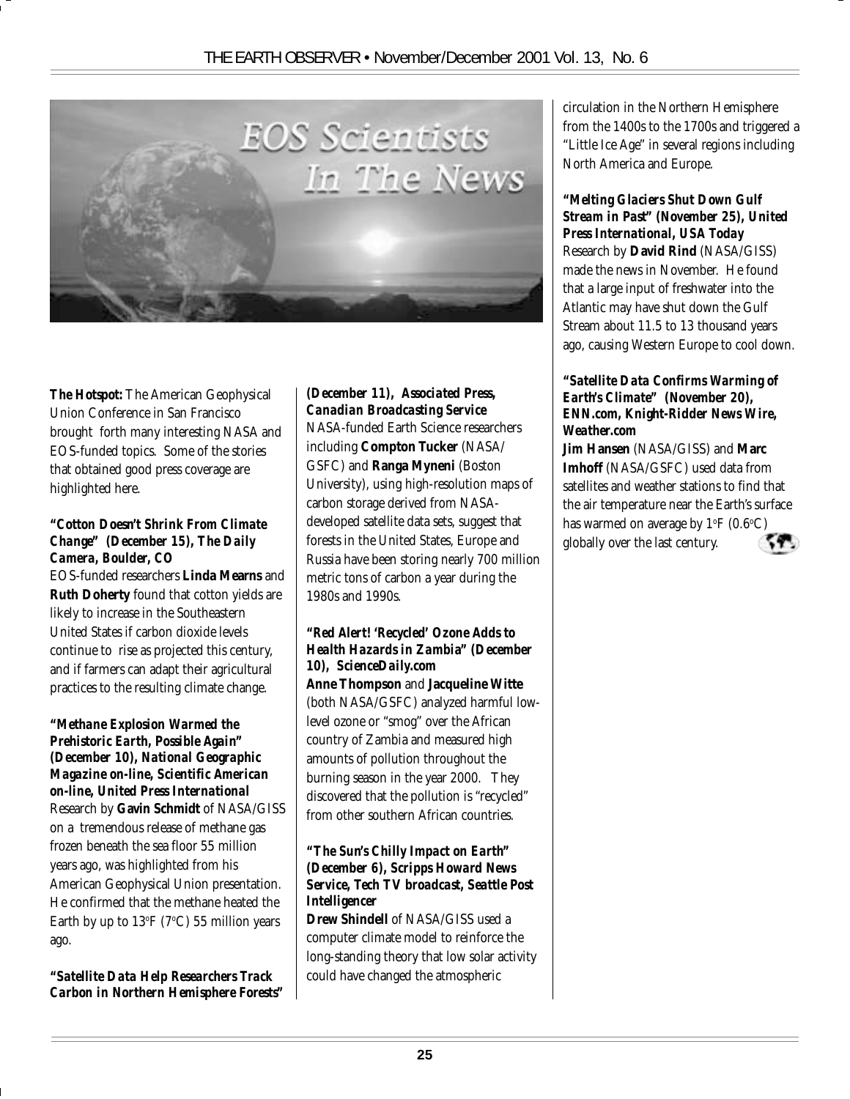

*The Hotspot:* The American Geophysical Union Conference in San Francisco brought forth many interesting NASA and EOS-funded topics. Some of the stories that obtained good press coverage are highlighted here.

#### *"Cotton Doesn't Shrink From Climate Change" (December 15), The Daily Camera, Boulder, CO*

EOS-funded researchers **Linda Mearns** and **Ruth Doherty** found that cotton yields are likely to increase in the Southeastern United States if carbon dioxide levels continue to rise as projected this century, and if farmers can adapt their agricultural practices to the resulting climate change.

#### *"Methane Explosion Warmed the Prehistoric Earth, Possible Again" (December 10), National Geographic Magazine on-line, Scientific American on-line, United Press International*

Research by **Gavin Schmidt** of NASA/GISS on a tremendous release of methane gas frozen beneath the sea floor 55 million years ago, was highlighted from his American Geophysical Union presentation. He confirmed that the methane heated the Earth by up to  $13^{\rm oF}$  (7°C) 55 million years ago.

*"Satellite Data Help Researchers Track Carbon in Northern Hemisphere Forests"*

#### *(December 11), Associated Press, Canadian Broadcasting Service*

NASA-funded Earth Science researchers including **Compton Tucker** (NASA/ GSFC) and **Ranga Myneni** (Boston University), using high-resolution maps of carbon storage derived from NASAdeveloped satellite data sets, suggest that forests in the United States, Europe and Russia have been storing nearly 700 million metric tons of carbon a year during the 1980s and 1990s.

#### *"Red Alert! 'Recycled' Ozone Adds to Health Hazards in Zambia" (December 10), ScienceDaily.com*

**Anne Thompson** and **Jacqueline Witte** (both NASA/GSFC) analyzed harmful lowlevel ozone or "smog" over the African country of Zambia and measured high amounts of pollution throughout the burning season in the year 2000. They discovered that the pollution is "recycled" from other southern African countries.

#### *"The Sun's Chilly Impact on Earth" (December 6), Scripps Howard News Service, Tech TV broadcast, Seattle Post Intelligencer*

**Drew Shindell** of NASA/GISS used a computer climate model to reinforce the long-standing theory that low solar activity could have changed the atmospheric

circulation in the Northern Hemisphere from the 1400s to the 1700s and triggered a "Little Ice Age" in several regions including North America and Europe.

#### *"Melting Glaciers Shut Down Gulf Stream in Past" (November 25), United Press International, USA Today*

Research by **David Rind** (NASA/GISS) made the news in November. He found that a large input of freshwater into the Atlantic may have shut down the Gulf Stream about 11.5 to 13 thousand years ago, causing Western Europe to cool down.

#### *"Satellite Data Confirms Warming of Earth's Climate" (November 20), ENN.com, Knight-Ridder News Wire, Weather.com*

**Jim Hansen** (NASA/GISS) and **Marc Imhoff** (NASA/GSFC) used data from satellites and weather stations to find that the air temperature near the Earth's surface has warmed on average by 1°F (0.6°C) globally over the last century.

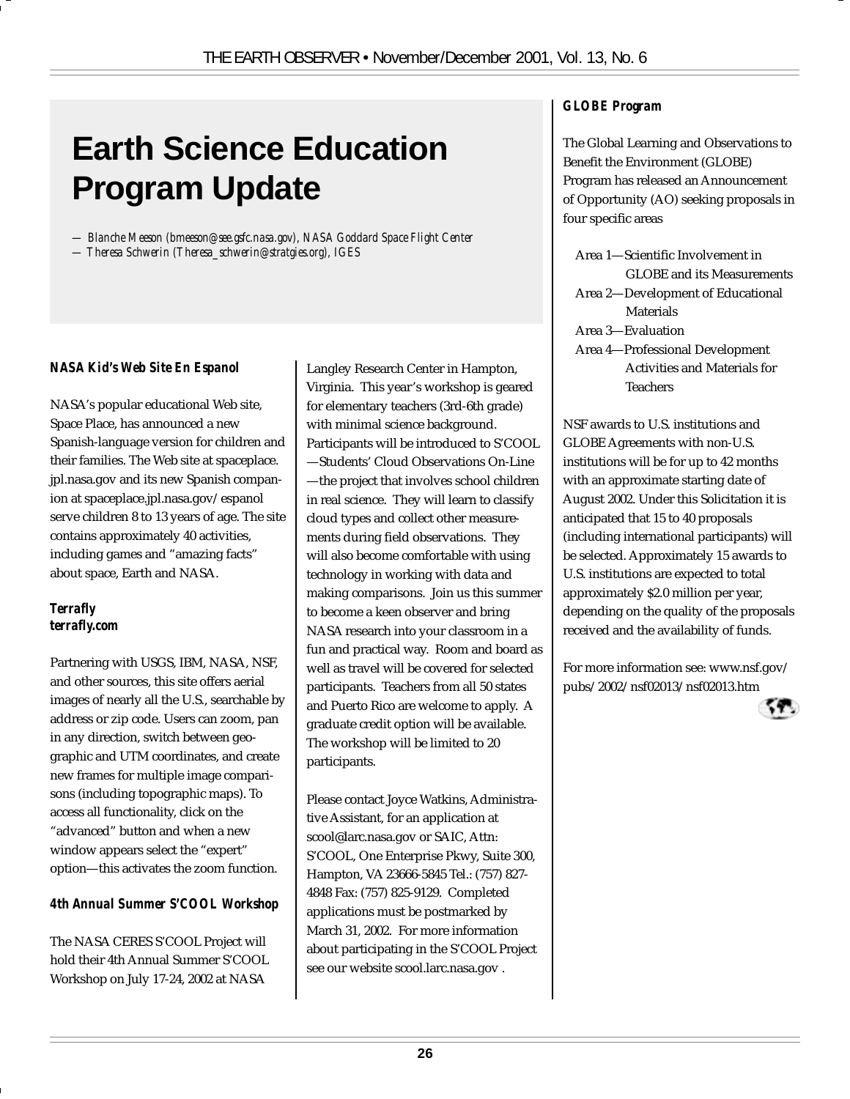# **Earth Science Education Program Update**

*— Blanche Meeson (bmeeson@see.gsfc.nasa.gov), NASA Goddard Space Flight Center — Theresa Schwerin (Theresa\_schwerin@stratgies.org), IGES*

#### *NASA Kid's Web Site En Espanol*

NASA's popular educational Web site, Space Place, has announced a new Spanish-language version for children and their families. The Web site at spaceplace. jpl.nasa.gov and its new Spanish companion at spaceplace.jpl.nasa.gov/espanol serve children 8 to 13 years of age. The site contains approximately 40 activities, including games and "amazing facts" about space, Earth and NASA.

#### *Terrafly terrafly.com*

Partnering with USGS, IBM, NASA, NSF, and other sources, this site offers aerial images of nearly all the U.S., searchable by address or zip code. Users can zoom, pan in any direction, switch between geographic and UTM coordinates, and create new frames for multiple image comparisons (including topographic maps). To access all functionality, click on the "advanced" button and when a new window appears select the "expert" option—this activates the zoom function.

#### *4th Annual Summer S'COOL Workshop*

The NASA CERES S'COOL Project will hold their 4th Annual Summer S'COOL Workshop on July 17-24, 2002 at NASA

Langley Research Center in Hampton, Virginia. This year's workshop is geared for elementary teachers (3rd-6th grade) with minimal science background. Participants will be introduced to S'COOL —Students' Cloud Observations On-Line —the project that involves school children in real science. They will learn to classify cloud types and collect other measurements during field observations. They will also become comfortable with using technology in working with data and making comparisons. Join us this summer to become a keen observer and bring NASA research into your classroom in a fun and practical way. Room and board as well as travel will be covered for selected participants. Teachers from all 50 states and Puerto Rico are welcome to apply. A graduate credit option will be available. The workshop will be limited to 20 participants.

Please contact Joyce Watkins, Administrative Assistant, for an application at scool@larc.nasa.gov or SAIC, Attn: S'COOL, One Enterprise Pkwy, Suite 300, Hampton, VA 23666-5845 Tel.: (757) 827- 4848 Fax: (757) 825-9129. Completed applications must be postmarked by March 31, 2002. For more information about participating in the S'COOL Project see our website scool.larc.nasa.gov .

#### *GLOBE Program*

The Global Learning and Observations to Benefit the Environment (GLOBE) Program has released an Announcement of Opportunity (AO) seeking proposals in four specific areas

Area 1—Scientific Involvement in GLOBE and its Measurements Area 2—Development of Educational Materials Area 3—Evaluation Area 4—Professional Development Activities and Materials for

**Teachers** 

NSF awards to U.S. institutions and GLOBE Agreements with non-U.S. institutions will be for up to 42 months with an approximate starting date of August 2002. Under this Solicitation it is anticipated that 15 to 40 proposals (including international participants) will be selected. Approximately 15 awards to U.S. institutions are expected to total approximately \$2.0 million per year, depending on the quality of the proposals received and the availability of funds.

For more information see: www.nsf.gov/ pubs/2002/nsf02013/nsf02013.htm

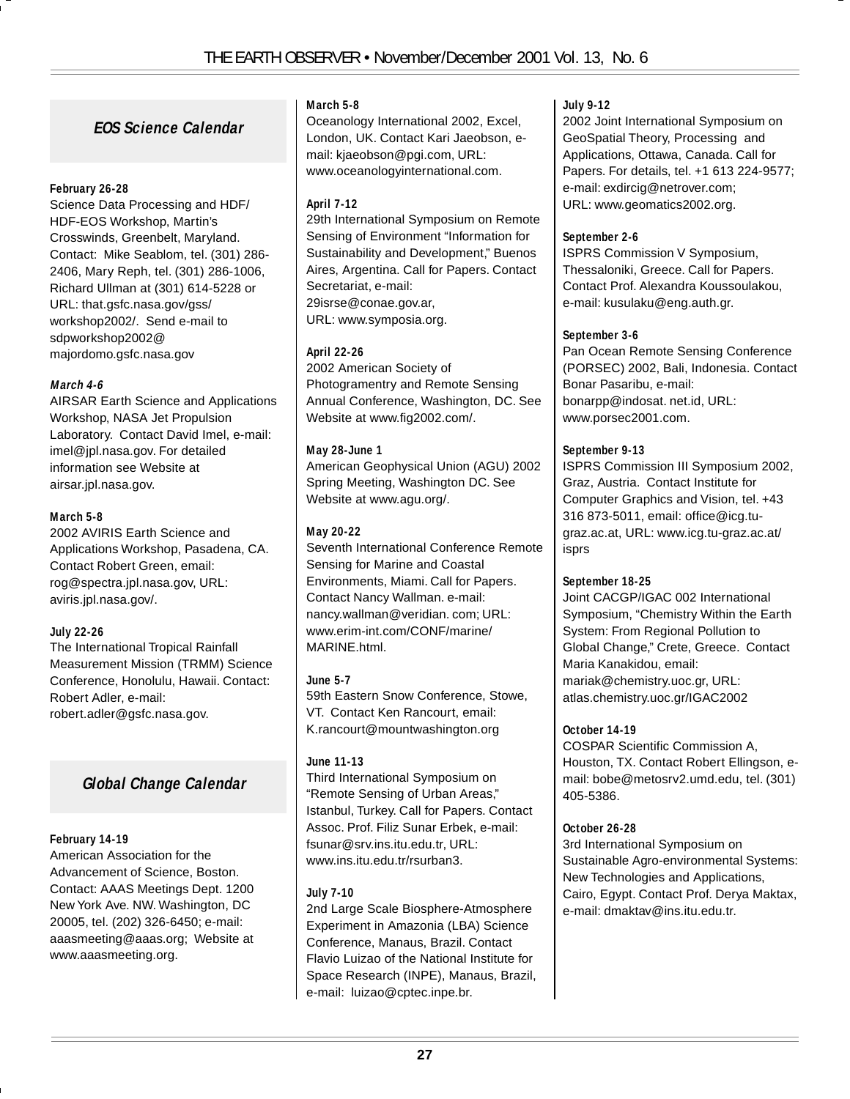#### **EOS Science Calendar**

#### **February 26-28**

Science Data Processing and HDF/ HDF-EOS Workshop, Martin's Crosswinds, Greenbelt, Maryland. Contact: Mike Seablom, tel. (301) 286- 2406, Mary Reph, tel. (301) 286-1006, Richard Ullman at (301) 614-5228 or URL: that.gsfc.nasa.gov/gss/ workshop2002/. Send e-mail to sdpworkshop2002@ majordomo.gsfc.nasa.gov

#### **March 4-6**

AIRSAR Earth Science and Applications Workshop, NASA Jet Propulsion Laboratory. Contact David Imel, e-mail: imel@jpl.nasa.gov. For detailed information see Website at airsar.jpl.nasa.gov.

#### **March 5-8**

2002 AVIRIS Earth Science and Applications Workshop, Pasadena, CA. Contact Robert Green, email: rog@spectra.jpl.nasa.gov, URL: aviris.jpl.nasa.gov/.

#### **July 22-26**

The International Tropical Rainfall Measurement Mission (TRMM) Science Conference, Honolulu, Hawaii. Contact: Robert Adler, e-mail: robert.adler@gsfc.nasa.gov.

#### **Global Change Calendar**

#### **February 14-19**

American Association for the Advancement of Science, Boston. Contact: AAAS Meetings Dept. 1200 New York Ave. NW. Washington, DC 20005, tel. (202) 326-6450; e-mail: aaasmeeting@aaas.org; Website at www.aaasmeeting.org.

#### **March 5-8**

Oceanology International 2002, Excel, London, UK. Contact Kari Jaeobson, email: kiaeobson@pgi.com, URL: www.oceanologyinternational.com.

#### **April 7-12**

29th International Symposium on Remote Sensing of Environment "Information for Sustainability and Development," Buenos Aires, Argentina. Call for Papers. Contact Secretariat, e-mail: 29isrse@conae.gov.ar, URL: www.symposia.org.

#### **April 22-26**

2002 American Society of Photogramentry and Remote Sensing Annual Conference, Washington, DC. See Website at www.fig2002.com/.

#### **May 28-June 1**

American Geophysical Union (AGU) 2002 Spring Meeting, Washington DC. See Website at www.agu.org/.

#### **May 20-22**

Seventh International Conference Remote Sensing for Marine and Coastal Environments, Miami. Call for Papers. Contact Nancy Wallman. e-mail: nancy.wallman@veridian. com; URL: www.erim-int.com/CONF/marine/ MARINE.html.

#### **June 5-7**

59th Eastern Snow Conference, Stowe, VT. Contact Ken Rancourt, email: K.rancourt@mountwashington.org

#### **June 11-13**

Third International Symposium on "Remote Sensing of Urban Areas," Istanbul, Turkey. Call for Papers. Contact Assoc. Prof. Filiz Sunar Erbek, e-mail: fsunar@srv.ins.itu.edu.tr, URL: www.ins.itu.edu.tr/rsurban3.

#### **July 7-10**

2nd Large Scale Biosphere-Atmosphere Experiment in Amazonia (LBA) Science Conference, Manaus, Brazil. Contact Flavio Luizao of the National Institute for Space Research (INPE), Manaus, Brazil, e-mail: luizao@cptec.inpe.br.

#### **July 9-12**

2002 Joint International Symposium on GeoSpatial Theory, Processing and Applications, Ottawa, Canada. Call for Papers. For details, tel. +1 613 224-9577; e-mail: exdircig@netrover.com; URL: www.geomatics2002.org.

#### **September 2-6**

ISPRS Commission V Symposium, Thessaloniki, Greece. Call for Papers. Contact Prof. Alexandra Koussoulakou, e-mail: kusulaku@eng.auth.gr.

#### **September 3-6**

Pan Ocean Remote Sensing Conference (PORSEC) 2002, Bali, Indonesia. Contact Bonar Pasaribu, e-mail: bonarpp@indosat. net.id, URL: www.porsec2001.com.

#### **September 9-13**

ISPRS Commission III Symposium 2002, Graz, Austria. Contact Institute for Computer Graphics and Vision, tel. +43 316 873-5011, email: office@icg.tugraz.ac.at, URL: www.icg.tu-graz.ac.at/ isprs

#### **September 18-25**

Joint CACGP/IGAC 002 International Symposium, "Chemistry Within the Earth System: From Regional Pollution to Global Change," Crete, Greece. Contact Maria Kanakidou, email: mariak@chemistry.uoc.gr, URL: atlas.chemistry.uoc.gr/IGAC2002

#### **October 14-19**

COSPAR Scientific Commission A, Houston, TX. Contact Robert Ellingson, email: bobe@metosrv2.umd.edu, tel. (301) 405-5386.

#### **October 26-28**

3rd International Symposium on Sustainable Agro-environmental Systems: New Technologies and Applications, Cairo, Egypt. Contact Prof. Derya Maktax, e-mail: dmaktav@ins.itu.edu.tr.